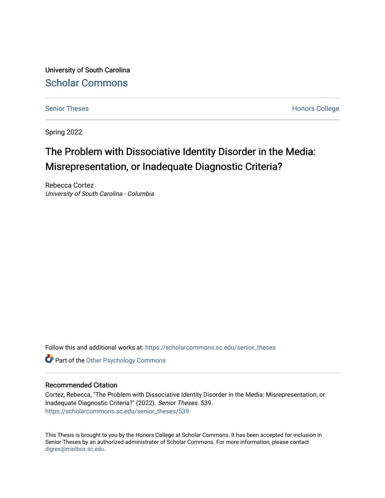University of South Carolina [Scholar Commons](https://scholarcommons.sc.edu/) 

[Senior Theses](https://scholarcommons.sc.edu/senior_theses) **Honors College** Honors College

Spring 2022

# The Problem with Dissociative Identity Disorder in the Media: Misrepresentation, or Inadequate Diagnostic Criteria?

Rebecca Cortez University of South Carolina - Columbia

Follow this and additional works at: [https://scholarcommons.sc.edu/senior\\_theses](https://scholarcommons.sc.edu/senior_theses?utm_source=scholarcommons.sc.edu%2Fsenior_theses%2F539&utm_medium=PDF&utm_campaign=PDFCoverPages) 

**Part of the Other Psychology Commons** 

## Recommended Citation

Cortez, Rebecca, "The Problem with Dissociative Identity Disorder in the Media: Misrepresentation, or Inadequate Diagnostic Criteria?" (2022). Senior Theses. 539. [https://scholarcommons.sc.edu/senior\\_theses/539](https://scholarcommons.sc.edu/senior_theses/539?utm_source=scholarcommons.sc.edu%2Fsenior_theses%2F539&utm_medium=PDF&utm_campaign=PDFCoverPages) 

This Thesis is brought to you by the Honors College at Scholar Commons. It has been accepted for inclusion in Senior Theses by an authorized administrator of Scholar Commons. For more information, please contact [digres@mailbox.sc.edu](mailto:digres@mailbox.sc.edu).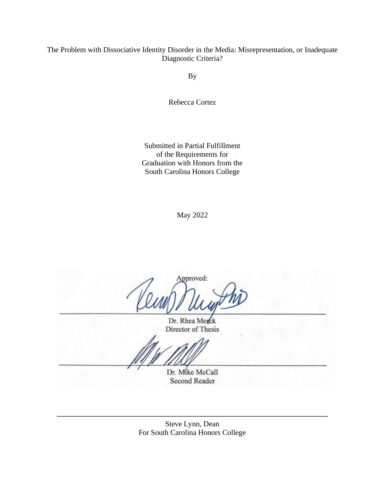## The Problem with Dissociative Identity Disorder in the Media: Misrepresentation, or Inadequate Diagnostic Criteria?

By

Rebecca Cortez

Submitted in Partial Fulfillment of the Requirements for Graduation with Honors from the South Carolina Honors College

May 2022

Approved:

Dr. Rhea Merck Director of Thesis

Dr. Mike McCall Second Reader

Steve Lynn, Dean For South Carolina Honors College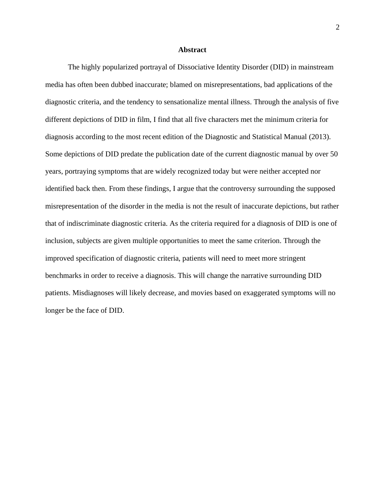#### **Abstract**

The highly popularized portrayal of Dissociative Identity Disorder (DID) in mainstream media has often been dubbed inaccurate; blamed on misrepresentations, bad applications of the diagnostic criteria, and the tendency to sensationalize mental illness. Through the analysis of five different depictions of DID in film, I find that all five characters met the minimum criteria for diagnosis according to the most recent edition of the Diagnostic and Statistical Manual (2013). Some depictions of DID predate the publication date of the current diagnostic manual by over 50 years, portraying symptoms that are widely recognized today but were neither accepted nor identified back then. From these findings, I argue that the controversy surrounding the supposed misrepresentation of the disorder in the media is not the result of inaccurate depictions, but rather that of indiscriminate diagnostic criteria. As the criteria required for a diagnosis of DID is one of inclusion, subjects are given multiple opportunities to meet the same criterion. Through the improved specification of diagnostic criteria, patients will need to meet more stringent benchmarks in order to receive a diagnosis. This will change the narrative surrounding DID patients. Misdiagnoses will likely decrease, and movies based on exaggerated symptoms will no longer be the face of DID.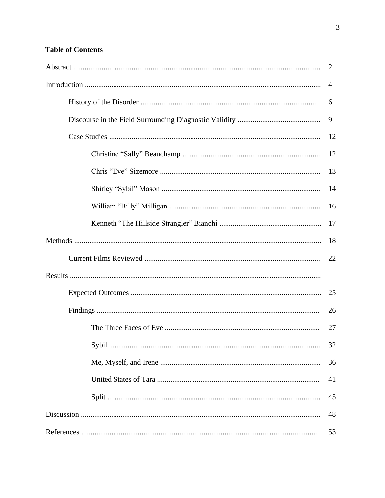# **Table of Contents**

| 2  |
|----|
| 4  |
| 6  |
| 9  |
| 12 |
| 12 |
| 13 |
| 14 |
| 16 |
| 17 |
| 18 |
| 22 |
|    |
| 25 |
| 26 |
| 27 |
| 32 |
| 36 |
| 41 |
| 45 |
| 48 |
| 53 |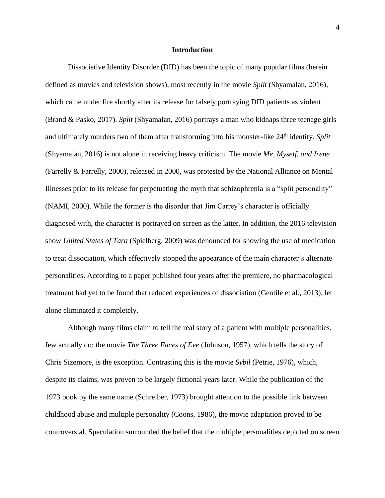## **Introduction**

Dissociative Identity Disorder (DID) has been the topic of many popular films (herein defined as movies and television shows), most recently in the movie *Split* (Shyamalan, 2016)*,*  which came under fire shortly after its release for falsely portraying DID patients as violent (Brand & Pasko, 2017). *Split* (Shyamalan, 2016) portrays a man who kidnaps three teenage girls and ultimately murders two of them after transforming into his monster-like 24th identity. *Split* (Shyamalan, 2016) is not alone in receiving heavy criticism. The movie *Me, Myself, and Irene* (Farrelly & Farrelly, 2000), released in 2000, was protested by the National Alliance on Mental Illnesses prior to its release for perpetuating the myth that schizophrenia is a "split personality" (NAMI, 2000). While the former is the disorder that Jim Carrey's character is officially diagnosed with, the character is portrayed on screen as the latter. In addition, the 2016 television show *United States of Tara* (Spielberg, 2009) was denounced for showing the use of medication to treat dissociation, which effectively stopped the appearance of the main character's alternate personalities. According to a paper published four years after the premiere, no pharmacological treatment had yet to be found that reduced experiences of dissociation (Gentile et al., 2013), let alone eliminated it completely.

Although many films claim to tell the real story of a patient with multiple personalities, few actually do; the movie *The Three Faces of Eve* (Johnson, 1957)*,* which tells the story of Chris Sizemore, is the exception. Contrasting this is the movie *Sybil* (Petrie, 1976), which, despite its claims, was proven to be largely fictional years later. While the publication of the 1973 book by the same name (Schreiber, 1973) brought attention to the possible link between childhood abuse and multiple personality (Coons, 1986), the movie adaptation proved to be controversial. Speculation surrounded the belief that the multiple personalities depicted on screen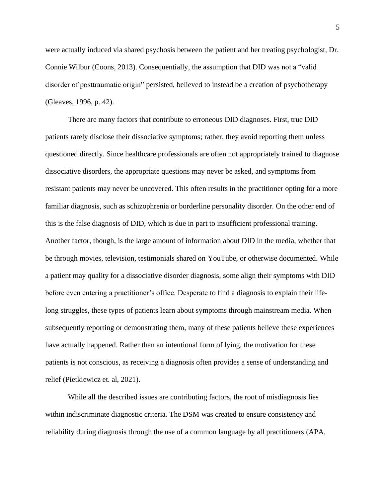were actually induced via shared psychosis between the patient and her treating psychologist, Dr. Connie Wilbur (Coons, 2013). Consequentially, the assumption that DID was not a "valid disorder of posttraumatic origin" persisted, believed to instead be a creation of psychotherapy (Gleaves, 1996, p. 42).

There are many factors that contribute to erroneous DID diagnoses. First, true DID patients rarely disclose their dissociative symptoms; rather, they avoid reporting them unless questioned directly. Since healthcare professionals are often not appropriately trained to diagnose dissociative disorders, the appropriate questions may never be asked, and symptoms from resistant patients may never be uncovered. This often results in the practitioner opting for a more familiar diagnosis, such as schizophrenia or borderline personality disorder. On the other end of this is the false diagnosis of DID, which is due in part to insufficient professional training. Another factor, though, is the large amount of information about DID in the media, whether that be through movies, television, testimonials shared on YouTube, or otherwise documented. While a patient may quality for a dissociative disorder diagnosis, some align their symptoms with DID before even entering a practitioner's office. Desperate to find a diagnosis to explain their lifelong struggles, these types of patients learn about symptoms through mainstream media. When subsequently reporting or demonstrating them, many of these patients believe these experiences have actually happened. Rather than an intentional form of lying, the motivation for these patients is not conscious, as receiving a diagnosis often provides a sense of understanding and relief (Pietkiewicz et. al, 2021).

While all the described issues are contributing factors, the root of misdiagnosis lies within indiscriminate diagnostic criteria. The DSM was created to ensure consistency and reliability during diagnosis through the use of a common language by all practitioners (APA,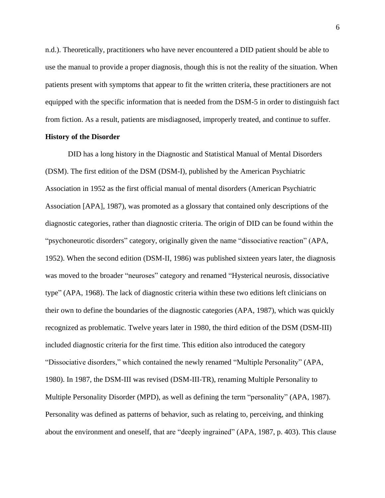n.d.). Theoretically, practitioners who have never encountered a DID patient should be able to use the manual to provide a proper diagnosis, though this is not the reality of the situation. When patients present with symptoms that appear to fit the written criteria, these practitioners are not equipped with the specific information that is needed from the DSM-5 in order to distinguish fact from fiction. As a result, patients are misdiagnosed, improperly treated, and continue to suffer.

## **History of the Disorder**

DID has a long history in the Diagnostic and Statistical Manual of Mental Disorders (DSM). The first edition of the DSM (DSM-I), published by the American Psychiatric Association in 1952 as the first official manual of mental disorders (American Psychiatric Association [APA], 1987), was promoted as a glossary that contained only descriptions of the diagnostic categories, rather than diagnostic criteria. The origin of DID can be found within the "psychoneurotic disorders" category, originally given the name "dissociative reaction" (APA, 1952). When the second edition (DSM-II, 1986) was published sixteen years later, the diagnosis was moved to the broader "neuroses" category and renamed "Hysterical neurosis, dissociative type" (APA, 1968). The lack of diagnostic criteria within these two editions left clinicians on their own to define the boundaries of the diagnostic categories (APA, 1987), which was quickly recognized as problematic. Twelve years later in 1980, the third edition of the DSM (DSM-III) included diagnostic criteria for the first time. This edition also introduced the category "Dissociative disorders," which contained the newly renamed "Multiple Personality" (APA, 1980). In 1987, the DSM-III was revised (DSM-III-TR), renaming Multiple Personality to Multiple Personality Disorder (MPD), as well as defining the term "personality" (APA, 1987). Personality was defined as patterns of behavior, such as relating to, perceiving, and thinking about the environment and oneself, that are "deeply ingrained" (APA, 1987, p. 403). This clause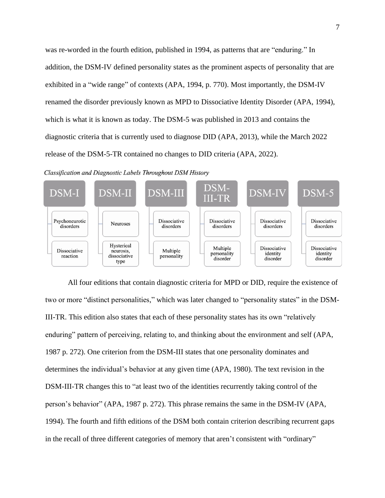was re-worded in the fourth edition, published in 1994, as patterns that are "enduring." In addition, the DSM-IV defined personality states as the prominent aspects of personality that are exhibited in a "wide range" of contexts (APA, 1994, p. 770). Most importantly, the DSM-IV renamed the disorder previously known as MPD to Dissociative Identity Disorder (APA, 1994), which is what it is known as today. The DSM-5 was published in 2013 and contains the diagnostic criteria that is currently used to diagnose DID (APA, 2013), while the March 2022 release of the DSM-5-TR contained no changes to DID criteria (APA, 2022).

Classification and Diagnostic Labels Throughout DSM History



All four editions that contain diagnostic criteria for MPD or DID, require the existence of two or more "distinct personalities," which was later changed to "personality states" in the DSM-III-TR. This edition also states that each of these personality states has its own "relatively enduring" pattern of perceiving, relating to, and thinking about the environment and self (APA, 1987 p. 272). One criterion from the DSM-III states that one personality dominates and determines the individual's behavior at any given time (APA, 1980). The text revision in the DSM-III-TR changes this to "at least two of the identities recurrently taking control of the person's behavior" (APA, 1987 p. 272). This phrase remains the same in the DSM-IV (APA, 1994). The fourth and fifth editions of the DSM both contain criterion describing recurrent gaps in the recall of three different categories of memory that aren't consistent with "ordinary"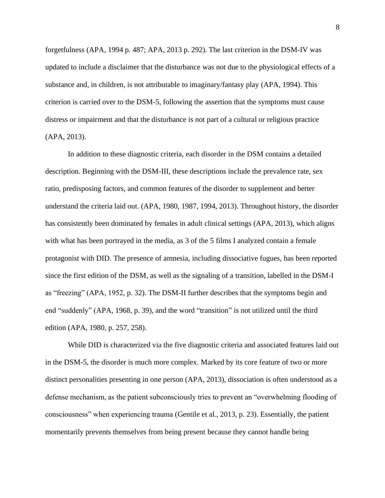forgetfulness (APA, 1994 p. 487; APA, 2013 p. 292). The last criterion in the DSM-IV was updated to include a disclaimer that the disturbance was not due to the physiological effects of a substance and, in children, is not attributable to imaginary/fantasy play (APA, 1994). This criterion is carried over to the DSM-5, following the assertion that the symptoms must cause distress or impairment and that the disturbance is not part of a cultural or religious practice (APA, 2013).

In addition to these diagnostic criteria, each disorder in the DSM contains a detailed description. Beginning with the DSM-III, these descriptions include the prevalence rate, sex ratio, predisposing factors, and common features of the disorder to supplement and better understand the criteria laid out. (APA, 1980, 1987, 1994, 2013). Throughout history, the disorder has consistently been dominated by females in adult clinical settings (APA, 2013), which aligns with what has been portrayed in the media, as 3 of the 5 films I analyzed contain a female protagonist with DID. The presence of amnesia, including dissociative fugues, has been reported since the first edition of the DSM, as well as the signaling of a transition, labelled in the DSM-I as "freezing" (APA, 1952, p. 32). The DSM-II further describes that the symptoms begin and end "suddenly" (APA, 1968, p. 39), and the word "transition" is not utilized until the third edition (APA, 1980, p. 257, 258).

While DID is characterized via the five diagnostic criteria and associated features laid out in the DSM-5, the disorder is much more complex. Marked by its core feature of two or more distinct personalities presenting in one person (APA, 2013), dissociation is often understood as a defense mechanism, as the patient subconsciously tries to prevent an "overwhelming flooding of consciousness" when experiencing trauma (Gentile et al., 2013, p. 23). Essentially, the patient momentarily prevents themselves from being present because they cannot handle being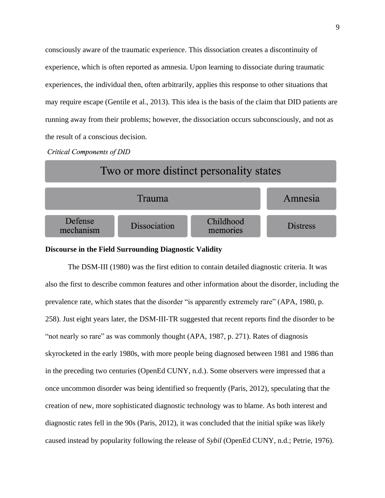consciously aware of the traumatic experience. This dissociation creates a discontinuity of experience, which is often reported as amnesia. Upon learning to dissociate during traumatic experiences, the individual then, often arbitrarily, applies this response to other situations that may require escape (Gentile et al., 2013). This idea is the basis of the claim that DID patients are running away from their problems; however, the dissociation occurs subconsciously, and not as the result of a conscious decision.

**Critical Components of DID** 



## **Discourse in the Field Surrounding Diagnostic Validity**

The DSM-III (1980) was the first edition to contain detailed diagnostic criteria. It was also the first to describe common features and other information about the disorder, including the prevalence rate, which states that the disorder "is apparently extremely rare" (APA, 1980, p. 258). Just eight years later, the DSM-III-TR suggested that recent reports find the disorder to be "not nearly so rare" as was commonly thought (APA, 1987, p. 271). Rates of diagnosis skyrocketed in the early 1980s, with more people being diagnosed between 1981 and 1986 than in the preceding two centuries (OpenEd CUNY, n.d.). Some observers were impressed that a once uncommon disorder was being identified so frequently (Paris, 2012), speculating that the creation of new, more sophisticated diagnostic technology was to blame. As both interest and diagnostic rates fell in the 90s (Paris, 2012), it was concluded that the initial spike was likely caused instead by popularity following the release of *Sybil* (OpenEd CUNY, n.d.; Petrie, 1976).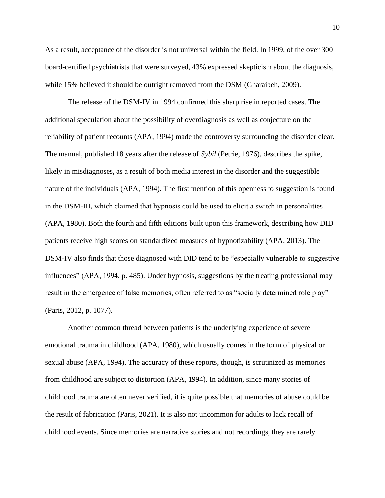As a result, acceptance of the disorder is not universal within the field. In 1999, of the over 300 board-certified psychiatrists that were surveyed, 43% expressed skepticism about the diagnosis, while 15% believed it should be outright removed from the DSM (Gharaibeh, 2009).

The release of the DSM-IV in 1994 confirmed this sharp rise in reported cases. The additional speculation about the possibility of overdiagnosis as well as conjecture on the reliability of patient recounts (APA, 1994) made the controversy surrounding the disorder clear. The manual, published 18 years after the release of *Sybil* (Petrie, 1976), describes the spike, likely in misdiagnoses, as a result of both media interest in the disorder and the suggestible nature of the individuals (APA, 1994). The first mention of this openness to suggestion is found in the DSM-III, which claimed that hypnosis could be used to elicit a switch in personalities (APA, 1980). Both the fourth and fifth editions built upon this framework, describing how DID patients receive high scores on standardized measures of hypnotizability (APA, 2013). The DSM-IV also finds that those diagnosed with DID tend to be "especially vulnerable to suggestive influences" (APA, 1994, p. 485). Under hypnosis, suggestions by the treating professional may result in the emergence of false memories, often referred to as "socially determined role play" (Paris, 2012, p. 1077).

Another common thread between patients is the underlying experience of severe emotional trauma in childhood (APA, 1980), which usually comes in the form of physical or sexual abuse (APA, 1994). The accuracy of these reports, though, is scrutinized as memories from childhood are subject to distortion (APA, 1994). In addition, since many stories of childhood trauma are often never verified, it is quite possible that memories of abuse could be the result of fabrication (Paris, 2021). It is also not uncommon for adults to lack recall of childhood events. Since memories are narrative stories and not recordings, they are rarely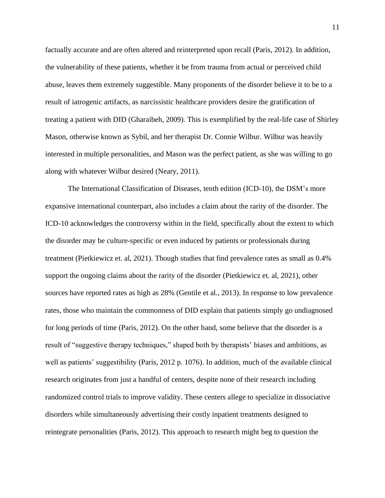factually accurate and are often altered and reinterpreted upon recall (Paris, 2012). In addition, the vulnerability of these patients, whether it be from trauma from actual or perceived child abuse, leaves them extremely suggestible. Many proponents of the disorder believe it to be to a result of iatrogenic artifacts, as narcissistic healthcare providers desire the gratification of treating a patient with DID (Gharaibeh, 2009). This is exemplified by the real-life case of Shirley Mason, otherwise known as Sybil, and her therapist Dr. Connie Wilbur. Wilbur was heavily interested in multiple personalities, and Mason was the perfect patient, as she was willing to go along with whatever Wilbur desired (Neary, 2011).

The International Classification of Diseases, tenth edition (ICD-10), the DSM's more expansive international counterpart, also includes a claim about the rarity of the disorder. The ICD-10 acknowledges the controversy within in the field, specifically about the extent to which the disorder may be culture-specific or even induced by patients or professionals during treatment (Pietkiewicz et. al, 2021). Though studies that find prevalence rates as small as 0.4% support the ongoing claims about the rarity of the disorder (Pietkiewicz et. al, 2021), other sources have reported rates as high as 28% (Gentile et al., 2013). In response to low prevalence rates, those who maintain the commonness of DID explain that patients simply go undiagnosed for long periods of time (Paris, 2012). On the other hand, some believe that the disorder is a result of "suggestive therapy techniques," shaped both by therapists' biases and ambitions, as well as patients' suggestibility (Paris, 2012 p. 1076). In addition, much of the available clinical research originates from just a handful of centers, despite none of their research including randomized control trials to improve validity. These centers allege to specialize in dissociative disorders while simultaneously advertising their costly inpatient treatments designed to reintegrate personalities (Paris, 2012). This approach to research might beg to question the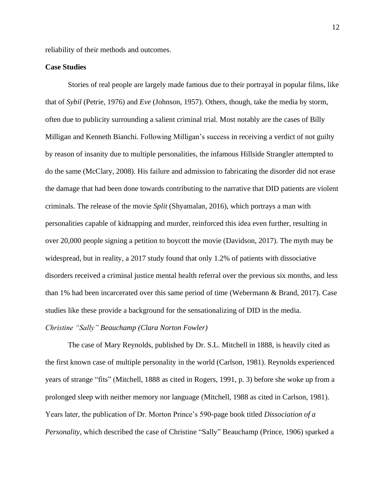reliability of their methods and outcomes.

## **Case Studies**

Stories of real people are largely made famous due to their portrayal in popular films, like that of *Sybil* (Petrie, 1976) and *Eve* (Johnson, 1957). Others, though, take the media by storm, often due to publicity surrounding a salient criminal trial. Most notably are the cases of Billy Milligan and Kenneth Bianchi. Following Milligan's success in receiving a verdict of not guilty by reason of insanity due to multiple personalities, the infamous Hillside Strangler attempted to do the same (McClary, 2008). His failure and admission to fabricating the disorder did not erase the damage that had been done towards contributing to the narrative that DID patients are violent criminals. The release of the movie *Split* (Shyamalan, 2016), which portrays a man with personalities capable of kidnapping and murder, reinforced this idea even further, resulting in over 20,000 people signing a petition to boycott the movie (Davidson, 2017). The myth may be widespread, but in reality, a 2017 study found that only 1.2% of patients with dissociative disorders received a criminal justice mental health referral over the previous six months, and less than 1% had been incarcerated over this same period of time (Webermann & Brand, 2017). Case studies like these provide a background for the sensationalizing of DID in the media.

## *Christine "Sally" Beauchamp (Clara Norton Fowler)*

The case of Mary Reynolds, published by Dr. S.L. Mitchell in 1888, is heavily cited as the first known case of multiple personality in the world (Carlson, 1981). Reynolds experienced years of strange "fits" (Mitchell, 1888 as cited in Rogers, 1991, p. 3) before she woke up from a prolonged sleep with neither memory nor language (Mitchell, 1988 as cited in Carlson, 1981). Years later, the publication of Dr. Morton Prince's 590-page book titled *Dissociation of a Personality*, which described the case of Christine "Sally" Beauchamp (Prince, 1906) sparked a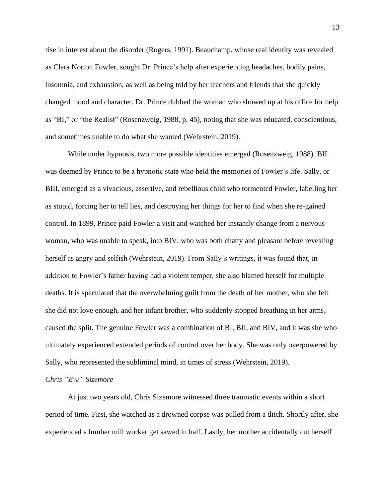rise in interest about the disorder (Rogers, 1991). Beauchamp, whose real identity was revealed as Clara Norton Fowler, sought Dr. Prince's help after experiencing headaches, bodily pains, insomnia, and exhaustion, as well as being told by her teachers and friends that she quickly changed mood and character. Dr. Prince dubbed the woman who showed up at his office for help as "BI," or "the Realist" (Rosenzweig, 1988, p. 45), noting that she was educated, conscientious, and sometimes unable to do what she wanted (Wehrstein, 2019).

While under hypnosis, two more possible identities emerged (Rosenzweig, 1988). BII was deemed by Prince to be a hypnotic state who held the memories of Fowler's life. Sally, or BIII, emerged as a vivacious, assertive, and rebellious child who tormented Fowler, labelling her as stupid, forcing her to tell lies, and destroying her things for her to find when she re-gained control. In 1899, Prince paid Fowler a visit and watched her instantly change from a nervous woman, who was unable to speak, into BIV, who was both chatty and pleasant before revealing herself as angry and selfish (Wehrstein, 2019). From Sally's writings, it was found that, in addition to Fowler's father having had a violent temper, she also blamed herself for multiple deaths. It is speculated that the overwhelming guilt from the death of her mother, who she felt she did not love enough, and her infant brother, who suddenly stopped breathing in her arms, caused the split. The genuine Fowler was a combination of BI, BII, and BIV, and it was she who ultimately experienced extended periods of control over her body. She was only overpowered by Sally, who represented the subliminal mind, in times of stress (Wehrstein, 2019).

## *Chris "Eve" Sizemore*

At just two years old, Chris Sizemore witnessed three traumatic events within a short period of time. First, she watched as a drowned corpse was pulled from a ditch. Shortly after, she experienced a lumber mill worker get sawed in half. Lastly, her mother accidentally cut herself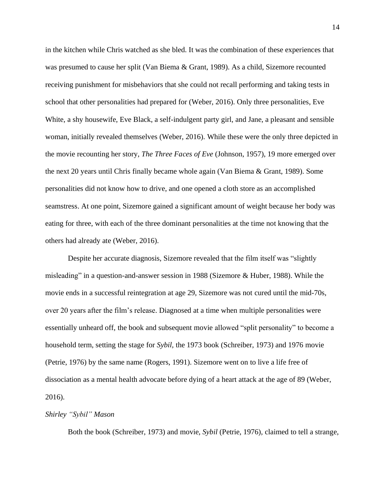in the kitchen while Chris watched as she bled. It was the combination of these experiences that was presumed to cause her split (Van Biema & Grant, 1989). As a child, Sizemore recounted receiving punishment for misbehaviors that she could not recall performing and taking tests in school that other personalities had prepared for (Weber, 2016). Only three personalities, Eve White, a shy housewife, Eve Black, a self-indulgent party girl, and Jane, a pleasant and sensible woman, initially revealed themselves (Weber, 2016). While these were the only three depicted in the movie recounting her story, *The Three Faces of Eve* (Johnson, 1957), 19 more emerged over the next 20 years until Chris finally became whole again (Van Biema & Grant, 1989). Some personalities did not know how to drive, and one opened a cloth store as an accomplished seamstress. At one point, Sizemore gained a significant amount of weight because her body was eating for three, with each of the three dominant personalities at the time not knowing that the others had already ate (Weber, 2016).

Despite her accurate diagnosis, Sizemore revealed that the film itself was "slightly misleading" in a question-and-answer session in 1988 (Sizemore & Huber, 1988). While the movie ends in a successful reintegration at age 29, Sizemore was not cured until the mid-70s, over 20 years after the film's release. Diagnosed at a time when multiple personalities were essentially unheard off, the book and subsequent movie allowed "split personality" to become a household term, setting the stage for *Sybil,* the 1973 book (Schreiber, 1973) and 1976 movie (Petrie, 1976) by the same name (Rogers, 1991). Sizemore went on to live a life free of dissociation as a mental health advocate before dying of a heart attack at the age of 89 (Weber, 2016).

## *Shirley "Sybil" Mason*

Both the book (Schreiber, 1973) and movie, *Sybil* (Petrie, 1976)*,* claimed to tell a strange,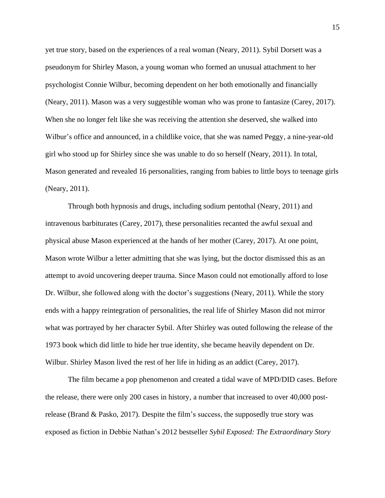yet true story, based on the experiences of a real woman (Neary, 2011). Sybil Dorsett was a pseudonym for Shirley Mason, a young woman who formed an unusual attachment to her psychologist Connie Wilbur, becoming dependent on her both emotionally and financially (Neary, 2011). Mason was a very suggestible woman who was prone to fantasize (Carey, 2017). When she no longer felt like she was receiving the attention she deserved, she walked into Wilbur's office and announced, in a childlike voice, that she was named Peggy, a nine-year-old girl who stood up for Shirley since she was unable to do so herself (Neary, 2011). In total, Mason generated and revealed 16 personalities, ranging from babies to little boys to teenage girls (Neary, 2011).

Through both hypnosis and drugs, including sodium pentothal (Neary, 2011) and intravenous barbiturates (Carey, 2017), these personalities recanted the awful sexual and physical abuse Mason experienced at the hands of her mother (Carey, 2017). At one point, Mason wrote Wilbur a letter admitting that she was lying, but the doctor dismissed this as an attempt to avoid uncovering deeper trauma. Since Mason could not emotionally afford to lose Dr. Wilbur, she followed along with the doctor's suggestions (Neary, 2011). While the story ends with a happy reintegration of personalities, the real life of Shirley Mason did not mirror what was portrayed by her character Sybil. After Shirley was outed following the release of the 1973 book which did little to hide her true identity, she became heavily dependent on Dr. Wilbur. Shirley Mason lived the rest of her life in hiding as an addict (Carey, 2017).

The film became a pop phenomenon and created a tidal wave of MPD/DID cases. Before the release, there were only 200 cases in history, a number that increased to over 40,000 postrelease (Brand & Pasko, 2017). Despite the film's success, the supposedly true story was exposed as fiction in Debbie Nathan's 2012 bestseller *Sybil Exposed: The Extraordinary Story*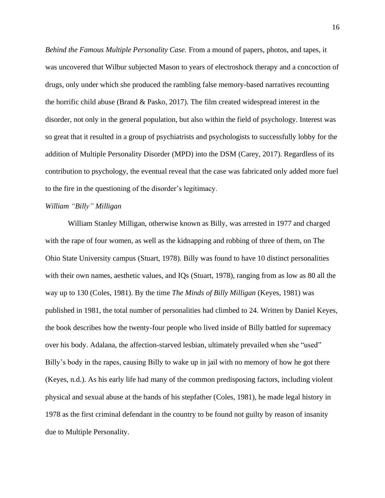*Behind the Famous Multiple Personality Case.* From a mound of papers, photos, and tapes, it was uncovered that Wilbur subjected Mason to years of electroshock therapy and a concoction of drugs, only under which she produced the rambling false memory-based narratives recounting the horrific child abuse (Brand & Pasko, 2017). The film created widespread interest in the disorder, not only in the general population, but also within the field of psychology. Interest was so great that it resulted in a group of psychiatrists and psychologists to successfully lobby for the addition of Multiple Personality Disorder (MPD) into the DSM (Carey, 2017). Regardless of its contribution to psychology, the eventual reveal that the case was fabricated only added more fuel to the fire in the questioning of the disorder's legitimacy.

## *William "Billy" Milligan*

William Stanley Milligan, otherwise known as Billy, was arrested in 1977 and charged with the rape of four women, as well as the kidnapping and robbing of three of them, on The Ohio State University campus (Stuart, 1978). Billy was found to have 10 distinct personalities with their own names, aesthetic values, and IQs (Stuart, 1978), ranging from as low as 80 all the way up to 130 (Coles, 1981). By the time *The Minds of Billy Milligan* (Keyes, 1981) was published in 1981, the total number of personalities had climbed to 24. Written by Daniel Keyes, the book describes how the twenty-four people who lived inside of Billy battled for supremacy over his body. Adalana, the affection-starved lesbian, ultimately prevailed when she "used" Billy's body in the rapes, causing Billy to wake up in jail with no memory of how he got there (Keyes, n.d.). As his early life had many of the common predisposing factors, including violent physical and sexual abuse at the hands of his stepfather (Coles, 1981), he made legal history in 1978 as the first criminal defendant in the country to be found not guilty by reason of insanity due to Multiple Personality.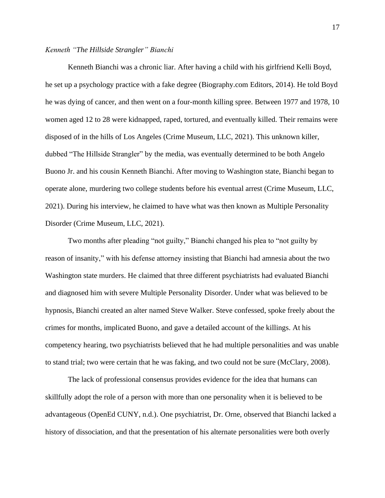## *Kenneth "The Hillside Strangler" Bianchi*

Kenneth Bianchi was a chronic liar. After having a child with his girlfriend Kelli Boyd, he set up a psychology practice with a fake degree (Biography.com Editors, 2014). He told Boyd he was dying of cancer, and then went on a four-month killing spree. Between 1977 and 1978, 10 women aged 12 to 28 were kidnapped, raped, tortured, and eventually killed. Their remains were disposed of in the hills of Los Angeles (Crime Museum, LLC, 2021). This unknown killer, dubbed "The Hillside Strangler" by the media, was eventually determined to be both Angelo Buono Jr. and his cousin Kenneth Bianchi. After moving to Washington state, Bianchi began to operate alone, murdering two college students before his eventual arrest (Crime Museum, LLC, 2021). During his interview, he claimed to have what was then known as Multiple Personality Disorder (Crime Museum, LLC, 2021).

Two months after pleading "not guilty," Bianchi changed his plea to "not guilty by reason of insanity," with his defense attorney insisting that Bianchi had amnesia about the two Washington state murders. He claimed that three different psychiatrists had evaluated Bianchi and diagnosed him with severe Multiple Personality Disorder. Under what was believed to be hypnosis, Bianchi created an alter named Steve Walker. Steve confessed, spoke freely about the crimes for months, implicated Buono, and gave a detailed account of the killings. At his competency hearing, two psychiatrists believed that he had multiple personalities and was unable to stand trial; two were certain that he was faking, and two could not be sure (McClary, 2008).

The lack of professional consensus provides evidence for the idea that humans can skillfully adopt the role of a person with more than one personality when it is believed to be advantageous (OpenEd CUNY, n.d.). One psychiatrist, Dr. Orne, observed that Bianchi lacked a history of dissociation, and that the presentation of his alternate personalities were both overly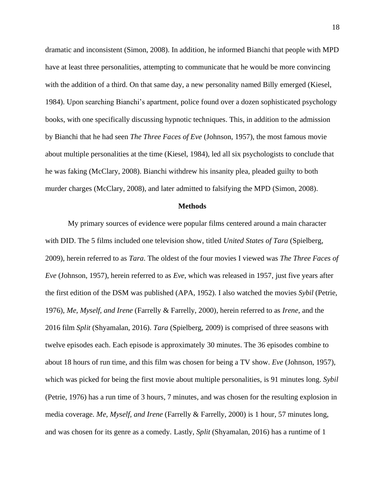dramatic and inconsistent (Simon, 2008). In addition, he informed Bianchi that people with MPD have at least three personalities, attempting to communicate that he would be more convincing with the addition of a third. On that same day, a new personality named Billy emerged (Kiesel, 1984). Upon searching Bianchi's apartment, police found over a dozen sophisticated psychology books, with one specifically discussing hypnotic techniques. This, in addition to the admission by Bianchi that he had seen *The Three Faces of Eve* (Johnson, 1957)*,* the most famous movie about multiple personalities at the time (Kiesel, 1984), led all six psychologists to conclude that he was faking (McClary, 2008). Bianchi withdrew his insanity plea, pleaded guilty to both murder charges (McClary, 2008), and later admitted to falsifying the MPD (Simon, 2008).

#### **Methods**

My primary sources of evidence were popular films centered around a main character with DID. The 5 films included one television show, titled *United States of Tara* (Spielberg, 2009), herein referred to as *Tara*. The oldest of the four movies I viewed was *The Three Faces of Eve* (Johnson, 1957), herein referred to as *Eve*, which was released in 1957, just five years after the first edition of the DSM was published (APA, 1952). I also watched the movies *Sybil* (Petrie, 1976), *Me, Myself, and Irene* (Farrelly & Farrelly, 2000), herein referred to as *Irene*, and the 2016 film *Split* (Shyamalan, 2016). *Tara* (Spielberg, 2009) is comprised of three seasons with twelve episodes each. Each episode is approximately 30 minutes. The 36 episodes combine to about 18 hours of run time, and this film was chosen for being a TV show. *Eve* (Johnson, 1957), which was picked for being the first movie about multiple personalities, is 91 minutes long. *Sybil* (Petrie, 1976) has a run time of 3 hours, 7 minutes, and was chosen for the resulting explosion in media coverage. *Me, Myself, and Irene* (Farrelly & Farrelly, 2000) is 1 hour, 57 minutes long, and was chosen for its genre as a comedy. Lastly, *Split* (Shyamalan, 2016) has a runtime of 1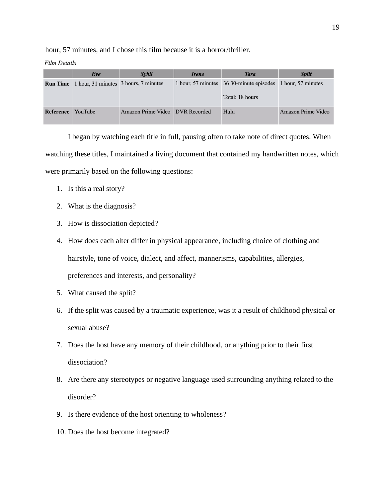hour, 57 minutes, and I chose this film because it is a horror/thriller.

**Film Details** 

|                 | Eve                                   | Sybil                           | Irene | <b>Tara</b>                                                                    | <b>Split</b>       |  |
|-----------------|---------------------------------------|---------------------------------|-------|--------------------------------------------------------------------------------|--------------------|--|
| <b>Run Time</b> | 1 hour, 31 minutes 3 hours, 7 minutes |                                 |       | 1 hour, 57 minutes 36 30-minute episodes 1 hour, 57 minutes<br>Total: 18 hours |                    |  |
| Reference       | YouTube                               | Amazon Prime Video DVR Recorded |       | Hulu                                                                           | Amazon Prime Video |  |

I began by watching each title in full, pausing often to take note of direct quotes. When watching these titles, I maintained a living document that contained my handwritten notes, which were primarily based on the following questions:

- 1. Is this a real story?
- 2. What is the diagnosis?
- 3. How is dissociation depicted?
- 4. How does each alter differ in physical appearance, including choice of clothing and hairstyle, tone of voice, dialect, and affect, mannerisms, capabilities, allergies, preferences and interests, and personality?
- 5. What caused the split?
- 6. If the split was caused by a traumatic experience, was it a result of childhood physical or sexual abuse?
- 7. Does the host have any memory of their childhood, or anything prior to their first dissociation?
- 8. Are there any stereotypes or negative language used surrounding anything related to the disorder?
- 9. Is there evidence of the host orienting to wholeness?
- 10. Does the host become integrated?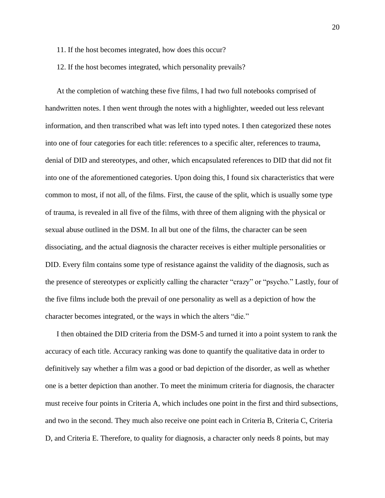- 11. If the host becomes integrated, how does this occur?
- 12. If the host becomes integrated, which personality prevails?

At the completion of watching these five films, I had two full notebooks comprised of handwritten notes. I then went through the notes with a highlighter, weeded out less relevant information, and then transcribed what was left into typed notes. I then categorized these notes into one of four categories for each title: references to a specific alter, references to trauma, denial of DID and stereotypes, and other, which encapsulated references to DID that did not fit into one of the aforementioned categories. Upon doing this, I found six characteristics that were common to most, if not all, of the films. First, the cause of the split, which is usually some type of trauma, is revealed in all five of the films, with three of them aligning with the physical or sexual abuse outlined in the DSM. In all but one of the films, the character can be seen dissociating, and the actual diagnosis the character receives is either multiple personalities or DID. Every film contains some type of resistance against the validity of the diagnosis, such as the presence of stereotypes or explicitly calling the character "crazy" or "psycho." Lastly, four of the five films include both the prevail of one personality as well as a depiction of how the character becomes integrated, or the ways in which the alters "die."

I then obtained the DID criteria from the DSM-5 and turned it into a point system to rank the accuracy of each title. Accuracy ranking was done to quantify the qualitative data in order to definitively say whether a film was a good or bad depiction of the disorder, as well as whether one is a better depiction than another. To meet the minimum criteria for diagnosis, the character must receive four points in Criteria A, which includes one point in the first and third subsections, and two in the second. They much also receive one point each in Criteria B, Criteria C, Criteria D, and Criteria E. Therefore, to quality for diagnosis, a character only needs 8 points, but may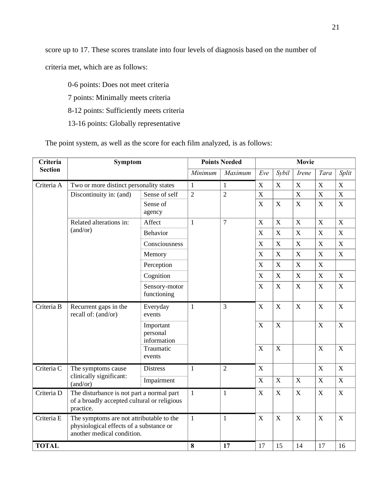score up to 17. These scores translate into four levels of diagnosis based on the number of

criteria met, which are as follows:

0-6 points: Does not meet criteria 7 points: Minimally meets criteria 8-12 points: Sufficiently meets criteria

13-16 points: Globally representative

The point system, as well as the score for each film analyzed, is as follows:

| Criteria       | Symptom                                                                                                           |                                      | <b>Points Needed</b> |                | <b>Movie</b>              |                         |                           |             |                |  |
|----------------|-------------------------------------------------------------------------------------------------------------------|--------------------------------------|----------------------|----------------|---------------------------|-------------------------|---------------------------|-------------|----------------|--|
| <b>Section</b> |                                                                                                                   |                                      | Minimum              | Maximum        | Eve                       | Sybil                   | <i>Irene</i>              | Tara        | Split          |  |
| Criteria A     | Two or more distinct personality states                                                                           |                                      | $\mathbf{1}$         | $\mathbf{1}$   | X                         | $\mathbf X$             | $\mathbf X$               | $\mathbf X$ | $\mathbf X$    |  |
|                | Discontinuity in: (and)                                                                                           | Sense of self                        | $\overline{2}$       | $\overline{2}$ | X                         |                         | $\overline{\mathbf{X}}$   | X           | $\overline{X}$ |  |
|                |                                                                                                                   | Sense of<br>agency                   |                      |                | $\mathbf X$               | $\mathbf X$             | $\mathbf X$               | $\mathbf X$ | $\mathbf X$    |  |
|                | Related alterations in:<br>(and/or)                                                                               | Affect                               | 1                    | $\overline{7}$ | $\mathbf X$               | $\mathbf X$             | X                         | $\mathbf X$ | $\mathbf X$    |  |
|                |                                                                                                                   | <b>Behavior</b>                      |                      |                | X                         | $\mathbf X$             | $\mathbf X$               | $\mathbf X$ | $\mathbf X$    |  |
|                |                                                                                                                   | Consciousness                        |                      |                | $\boldsymbol{\mathrm{X}}$ | $\mathbf X$             | $\mathbf X$               | $\mathbf X$ | $\mathbf X$    |  |
|                |                                                                                                                   | Memory                               |                      |                | X                         | X                       | $\boldsymbol{\mathrm{X}}$ | X           | $\mathbf X$    |  |
|                |                                                                                                                   | Perception                           |                      |                | X                         | $\mathbf X$             | X                         | X           |                |  |
|                |                                                                                                                   | Cognition                            |                      |                | $\boldsymbol{\mathrm{X}}$ | $\mathbf X$             | $\boldsymbol{\mathrm{X}}$ | X           | $\mathbf X$    |  |
|                |                                                                                                                   | Sensory-motor<br>functioning         |                      |                | X                         | $\mathbf X$             | $\mathbf X$               | X           | X              |  |
| Criteria B     | Recurrent gaps in the<br>recall of: (and/or)                                                                      | Everyday<br>events                   | $\mathbf{1}$         | 3              | X                         | $\mathbf X$             | $\mathbf X$               | X           | $\mathbf X$    |  |
|                |                                                                                                                   | Important<br>personal<br>information |                      |                | X                         | $\boldsymbol{X}$        |                           | X           | $\mathbf X$    |  |
|                |                                                                                                                   | Traumatic<br>events                  |                      |                | X                         | $\overline{\mathbf{X}}$ |                           | $\mathbf X$ | $\mathbf X$    |  |
| Criteria C     | The symptoms cause<br>clinically significant:<br>(and/or)                                                         | <b>Distress</b>                      | 1                    | $\overline{2}$ | X                         |                         |                           | $\mathbf X$ | $\mathbf X$    |  |
|                |                                                                                                                   | Impairment                           |                      |                | $\boldsymbol{X}$          | $\mathbf X$             | $\mathbf X$               | $\mathbf X$ | $\mathbf X$    |  |
| Criteria D     | The disturbance is not part a normal part<br>of a broadly accepted cultural or religious<br>practice.             |                                      | $\mathbf{1}$         | $\mathbf{1}$   | $\boldsymbol{X}$          | $\mathbf X$             | X                         | $\mathbf X$ | $\mathbf X$    |  |
| Criteria E     | The symptoms are not attributable to the<br>physiological effects of a substance or<br>another medical condition. |                                      | $\mathbf{1}$         | 1              | $\mathbf X$               | $\mathbf X$             | $\mathbf X$               | $\mathbf X$ | $\mathbf X$    |  |
| <b>TOTAL</b>   |                                                                                                                   | 8                                    | 17                   | 17             | 15                        | 14                      | 17                        | 16          |                |  |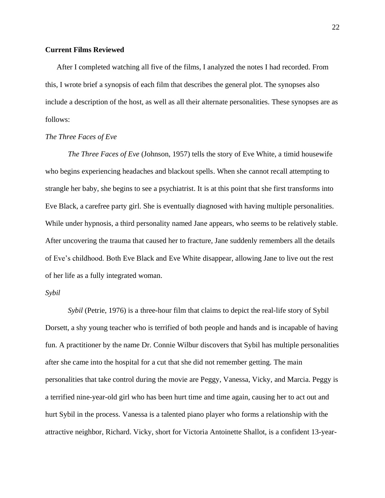## **Current Films Reviewed**

After I completed watching all five of the films, I analyzed the notes I had recorded. From this, I wrote brief a synopsis of each film that describes the general plot. The synopses also include a description of the host, as well as all their alternate personalities. These synopses are as follows:

## *The Three Faces of Eve*

*The Three Faces of Eve* (Johnson, 1957) tells the story of Eve White, a timid housewife who begins experiencing headaches and blackout spells. When she cannot recall attempting to strangle her baby, she begins to see a psychiatrist. It is at this point that she first transforms into Eve Black, a carefree party girl. She is eventually diagnosed with having multiple personalities. While under hypnosis, a third personality named Jane appears, who seems to be relatively stable. After uncovering the trauma that caused her to fracture, Jane suddenly remembers all the details of Eve's childhood. Both Eve Black and Eve White disappear, allowing Jane to live out the rest of her life as a fully integrated woman.

#### *Sybil*

*Sybil* (Petrie, 1976) is a three-hour film that claims to depict the real-life story of Sybil Dorsett, a shy young teacher who is terrified of both people and hands and is incapable of having fun. A practitioner by the name Dr. Connie Wilbur discovers that Sybil has multiple personalities after she came into the hospital for a cut that she did not remember getting. The main personalities that take control during the movie are Peggy, Vanessa, Vicky, and Marcia. Peggy is a terrified nine-year-old girl who has been hurt time and time again, causing her to act out and hurt Sybil in the process. Vanessa is a talented piano player who forms a relationship with the attractive neighbor, Richard. Vicky, short for Victoria Antoinette Shallot, is a confident 13-year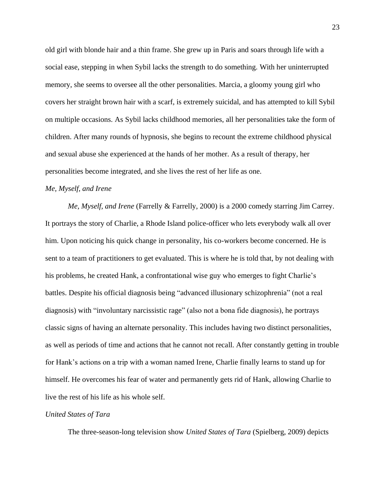old girl with blonde hair and a thin frame. She grew up in Paris and soars through life with a social ease, stepping in when Sybil lacks the strength to do something. With her uninterrupted memory, she seems to oversee all the other personalities. Marcia, a gloomy young girl who covers her straight brown hair with a scarf, is extremely suicidal, and has attempted to kill Sybil on multiple occasions. As Sybil lacks childhood memories, all her personalities take the form of children. After many rounds of hypnosis, she begins to recount the extreme childhood physical and sexual abuse she experienced at the hands of her mother. As a result of therapy, her personalities become integrated, and she lives the rest of her life as one.

#### *Me, Myself, and Irene*

*Me, Myself, and Irene* (Farrelly & Farrelly, 2000) is a 2000 comedy starring Jim Carrey. It portrays the story of Charlie, a Rhode Island police-officer who lets everybody walk all over him. Upon noticing his quick change in personality, his co-workers become concerned. He is sent to a team of practitioners to get evaluated. This is where he is told that, by not dealing with his problems, he created Hank, a confrontational wise guy who emerges to fight Charlie's battles. Despite his official diagnosis being "advanced illusionary schizophrenia" (not a real diagnosis) with "involuntary narcissistic rage" (also not a bona fide diagnosis), he portrays classic signs of having an alternate personality. This includes having two distinct personalities, as well as periods of time and actions that he cannot not recall. After constantly getting in trouble for Hank's actions on a trip with a woman named Irene, Charlie finally learns to stand up for himself. He overcomes his fear of water and permanently gets rid of Hank, allowing Charlie to live the rest of his life as his whole self.

## *United States of Tara*

The three-season-long television show *United States of Tara* (Spielberg, 2009) depicts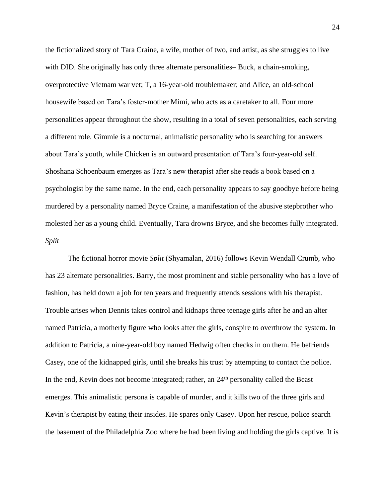the fictionalized story of Tara Craine, a wife, mother of two, and artist, as she struggles to live with DID. She originally has only three alternate personalities– Buck, a chain-smoking, overprotective Vietnam war vet; T, a 16-year-old troublemaker; and Alice, an old-school housewife based on Tara's foster-mother Mimi, who acts as a caretaker to all. Four more personalities appear throughout the show, resulting in a total of seven personalities, each serving a different role. Gimmie is a nocturnal, animalistic personality who is searching for answers about Tara's youth, while Chicken is an outward presentation of Tara's four-year-old self. Shoshana Schoenbaum emerges as Tara's new therapist after she reads a book based on a psychologist by the same name. In the end, each personality appears to say goodbye before being murdered by a personality named Bryce Craine, a manifestation of the abusive stepbrother who molested her as a young child. Eventually, Tara drowns Bryce, and she becomes fully integrated. *Split*

The fictional horror movie *Split* (Shyamalan, 2016) follows Kevin Wendall Crumb, who has 23 alternate personalities. Barry, the most prominent and stable personality who has a love of fashion, has held down a job for ten years and frequently attends sessions with his therapist. Trouble arises when Dennis takes control and kidnaps three teenage girls after he and an alter named Patricia, a motherly figure who looks after the girls, conspire to overthrow the system. In addition to Patricia, a nine-year-old boy named Hedwig often checks in on them. He befriends Casey, one of the kidnapped girls, until she breaks his trust by attempting to contact the police. In the end, Kevin does not become integrated; rather, an 24<sup>th</sup> personality called the Beast emerges. This animalistic persona is capable of murder, and it kills two of the three girls and Kevin's therapist by eating their insides. He spares only Casey. Upon her rescue, police search the basement of the Philadelphia Zoo where he had been living and holding the girls captive. It is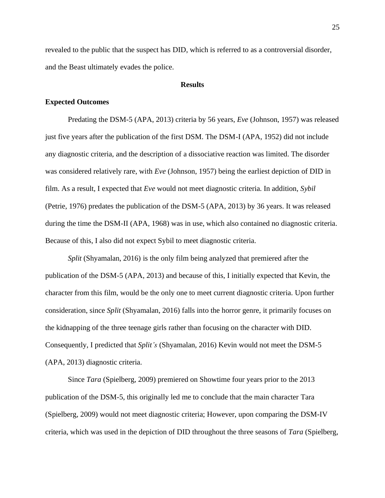revealed to the public that the suspect has DID, which is referred to as a controversial disorder, and the Beast ultimately evades the police.

## **Results**

## **Expected Outcomes**

Predating the DSM-5 (APA, 2013) criteria by 56 years, *Eve* (Johnson, 1957) was released just five years after the publication of the first DSM. The DSM-I (APA, 1952) did not include any diagnostic criteria, and the description of a dissociative reaction was limited. The disorder was considered relatively rare, with *Eve* (Johnson, 1957) being the earliest depiction of DID in film. As a result, I expected that *Eve* would not meet diagnostic criteria. In addition, *Sybil* (Petrie, 1976) predates the publication of the DSM-5 (APA, 2013) by 36 years. It was released during the time the DSM-II (APA, 1968) was in use, which also contained no diagnostic criteria. Because of this, I also did not expect Sybil to meet diagnostic criteria.

*Split* (Shyamalan, 2016) is the only film being analyzed that premiered after the publication of the DSM-5 (APA, 2013) and because of this, I initially expected that Kevin, the character from this film, would be the only one to meet current diagnostic criteria. Upon further consideration, since *Split* (Shyamalan, 2016) falls into the horror genre, it primarily focuses on the kidnapping of the three teenage girls rather than focusing on the character with DID. Consequently, I predicted that *Split's* (Shyamalan, 2016) Kevin would not meet the DSM-5 (APA, 2013) diagnostic criteria.

Since *Tara* (Spielberg, 2009) premiered on Showtime four years prior to the 2013 publication of the DSM-5, this originally led me to conclude that the main character Tara (Spielberg, 2009) would not meet diagnostic criteria; However, upon comparing the DSM-IV criteria, which was used in the depiction of DID throughout the three seasons of *Tara* (Spielberg,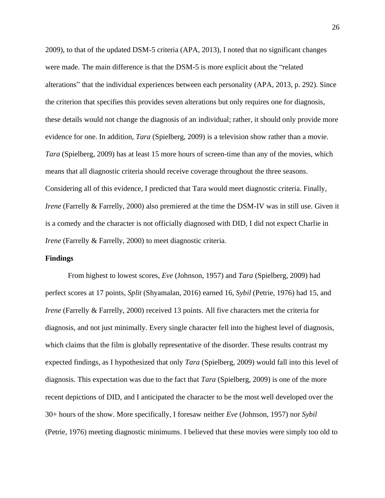2009), to that of the updated DSM-5 criteria (APA, 2013), I noted that no significant changes were made. The main difference is that the DSM-5 is more explicit about the "related alterations" that the individual experiences between each personality (APA, 2013, p. 292). Since the criterion that specifies this provides seven alterations but only requires one for diagnosis, these details would not change the diagnosis of an individual; rather, it should only provide more evidence for one. In addition, *Tara* (Spielberg, 2009) is a television show rather than a movie. *Tara* (Spielberg, 2009) has at least 15 more hours of screen-time than any of the movies, which means that all diagnostic criteria should receive coverage throughout the three seasons. Considering all of this evidence, I predicted that Tara would meet diagnostic criteria. Finally, *Irene* (Farrelly & Farrelly, 2000) also premiered at the time the DSM-IV was in still use. Given it is a comedy and the character is not officially diagnosed with DID, I did not expect Charlie in *Irene* (Farrelly & Farrelly, 2000) to meet diagnostic criteria.

## **Findings**

From highest to lowest scores, *Eve* (Johnson, 1957) and *Tara* (Spielberg, 2009) had perfect scores at 17 points, *Split* (Shyamalan, 2016) earned 16, *Sybil* (Petrie, 1976) had 15, and *Irene* (Farrelly & Farrelly, 2000) received 13 points. All five characters met the criteria for diagnosis, and not just minimally. Every single character fell into the highest level of diagnosis, which claims that the film is globally representative of the disorder. These results contrast my expected findings, as I hypothesized that only *Tara* (Spielberg, 2009) would fall into this level of diagnosis. This expectation was due to the fact that *Tara* (Spielberg, 2009) is one of the more recent depictions of DID, and I anticipated the character to be the most well developed over the 30+ hours of the show. More specifically, I foresaw neither *Eve* (Johnson, 1957) nor *Sybil* (Petrie, 1976) meeting diagnostic minimums. I believed that these movies were simply too old to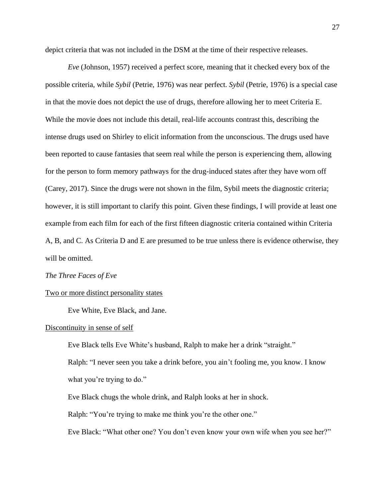depict criteria that was not included in the DSM at the time of their respective releases.

*Eve* (Johnson, 1957) received a perfect score, meaning that it checked every box of the possible criteria, while *Sybil* (Petrie, 1976) was near perfect. *Sybil* (Petrie, 1976) is a special case in that the movie does not depict the use of drugs, therefore allowing her to meet Criteria E. While the movie does not include this detail, real-life accounts contrast this, describing the intense drugs used on Shirley to elicit information from the unconscious. The drugs used have been reported to cause fantasies that seem real while the person is experiencing them, allowing for the person to form memory pathways for the drug-induced states after they have worn off (Carey, 2017). Since the drugs were not shown in the film, Sybil meets the diagnostic criteria; however, it is still important to clarify this point. Given these findings, I will provide at least one example from each film for each of the first fifteen diagnostic criteria contained within Criteria A, B, and C. As Criteria D and E are presumed to be true unless there is evidence otherwise, they will be omitted.

#### *The Three Faces of Eve*

#### Two or more distinct personality states

Eve White, Eve Black, and Jane.

#### Discontinuity in sense of self

Eve Black tells Eve White's husband, Ralph to make her a drink "straight."

Ralph: "I never seen you take a drink before, you ain't fooling me, you know. I know what you're trying to do."

Eve Black chugs the whole drink, and Ralph looks at her in shock.

Ralph: "You're trying to make me think you're the other one."

Eve Black: "What other one? You don't even know your own wife when you see her?"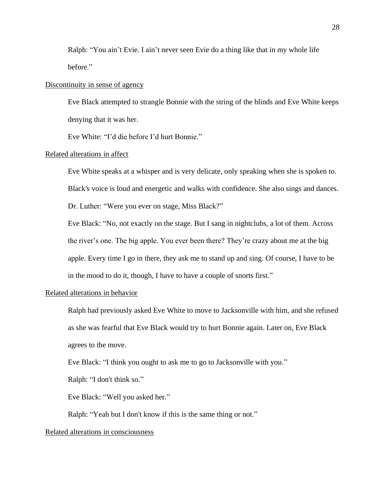Ralph: "You ain't Evie. I ain't never seen Evie do a thing like that in my whole life before."

## Discontinuity in sense of agency

Eve Black attempted to strangle Bonnie with the string of the blinds and Eve White keeps denying that it was her.

Eve White: "I'd die before I'd hurt Bonnie."

## Related alterations in affect

Eve White speaks at a whisper and is very delicate, only speaking when she is spoken to.

Black's voice is loud and energetic and walks with confidence. She also sings and dances.

Dr. Luther: "Were you ever on stage, Miss Black?"

Eve Black: "No, not exactly on the stage. But I sang in nightclubs, a lot of them. Across the river's one. The big apple. You ever been there? They're crazy about me at the big apple. Every time I go in there, they ask me to stand up and sing. Of course, I have to be in the mood to do it, though, I have to have a couple of snorts first."

## Related alterations in behavior

Ralph had previously asked Eve White to move to Jacksonville with him, and she refused as she was fearful that Eve Black would try to hurt Bonnie again. Later on, Eve Black agrees to the move.

Eve Black: "I think you ought to ask me to go to Jacksonville with you."

Ralph: "I don't think so."

Eve Black: "Well you asked her."

Ralph: "Yeah but I don't know if this is the same thing or not."

## Related alterations in consciousness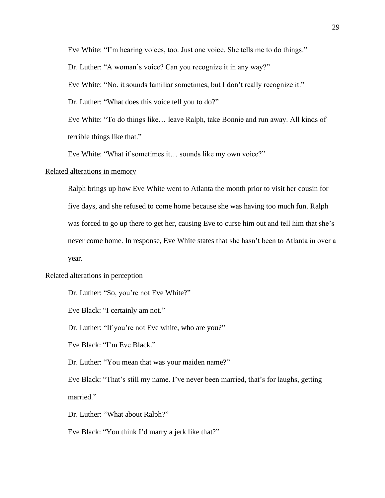Eve White: "I'm hearing voices, too. Just one voice. She tells me to do things."

Dr. Luther: "A woman's voice? Can you recognize it in any way?"

Eve White: "No. it sounds familiar sometimes, but I don't really recognize it."

Dr. Luther: "What does this voice tell you to do?"

Eve White: "To do things like… leave Ralph, take Bonnie and run away. All kinds of terrible things like that."

Eve White: "What if sometimes it… sounds like my own voice?"

#### Related alterations in memory

Ralph brings up how Eve White went to Atlanta the month prior to visit her cousin for five days, and she refused to come home because she was having too much fun. Ralph was forced to go up there to get her, causing Eve to curse him out and tell him that she's never come home. In response, Eve White states that she hasn't been to Atlanta in over a year.

#### Related alterations in perception

Dr. Luther: "So, you're not Eve White?"

Eve Black: "I certainly am not."

Dr. Luther: "If you're not Eve white, who are you?"

Eve Black: "I'm Eve Black."

Dr. Luther: "You mean that was your maiden name?"

Eve Black: "That's still my name. I've never been married, that's for laughs, getting married."

Dr. Luther: "What about Ralph?"

Eve Black: "You think I'd marry a jerk like that?"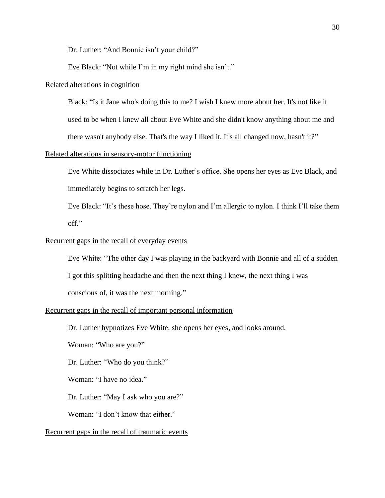Dr. Luther: "And Bonnie isn't your child?"

Eve Black: "Not while I'm in my right mind she isn't."

## Related alterations in cognition

Black: "Is it Jane who's doing this to me? I wish I knew more about her. It's not like it

used to be when I knew all about Eve White and she didn't know anything about me and

there wasn't anybody else. That's the way I liked it. It's all changed now, hasn't it?"

## Related alterations in sensory-motor functioning

Eve White dissociates while in Dr. Luther's office. She opens her eyes as Eve Black, and immediately begins to scratch her legs.

Eve Black: "It's these hose. They're nylon and I'm allergic to nylon. I think I'll take them off."

#### Recurrent gaps in the recall of everyday events

Eve White: "The other day I was playing in the backyard with Bonnie and all of a sudden I got this splitting headache and then the next thing I knew, the next thing I was conscious of, it was the next morning."

## Recurrent gaps in the recall of important personal information

Dr. Luther hypnotizes Eve White, she opens her eyes, and looks around.

Woman: "Who are you?"

Dr. Luther: "Who do you think?"

Woman: "I have no idea."

Dr. Luther: "May I ask who you are?"

Woman: "I don't know that either."

## Recurrent gaps in the recall of traumatic events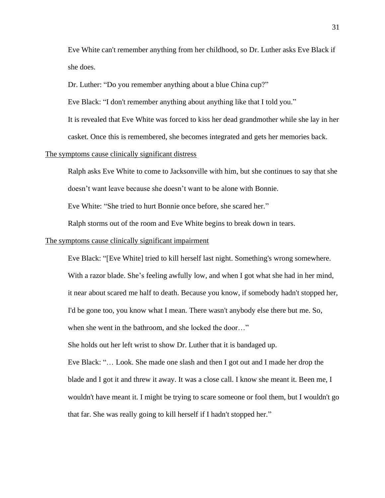Eve White can't remember anything from her childhood, so Dr. Luther asks Eve Black if she does.

Dr. Luther: "Do you remember anything about a blue China cup?"

Eve Black: "I don't remember anything about anything like that I told you."

It is revealed that Eve White was forced to kiss her dead grandmother while she lay in her

casket. Once this is remembered, she becomes integrated and gets her memories back.

#### The symptoms cause clinically significant distress

Ralph asks Eve White to come to Jacksonville with him, but she continues to say that she doesn't want leave because she doesn't want to be alone with Bonnie.

Eve White: "She tried to hurt Bonnie once before, she scared her."

Ralph storms out of the room and Eve White begins to break down in tears.

#### The symptoms cause clinically significant impairment

Eve Black: "[Eve White] tried to kill herself last night. Something's wrong somewhere. With a razor blade. She's feeling awfully low, and when I got what she had in her mind, it near about scared me half to death. Because you know, if somebody hadn't stopped her, I'd be gone too, you know what I mean. There wasn't anybody else there but me. So, when she went in the bathroom, and she locked the door…"

She holds out her left wrist to show Dr. Luther that it is bandaged up.

Eve Black: "… Look. She made one slash and then I got out and I made her drop the blade and I got it and threw it away. It was a close call. I know she meant it. Been me, I wouldn't have meant it. I might be trying to scare someone or fool them, but I wouldn't go that far. She was really going to kill herself if I hadn't stopped her."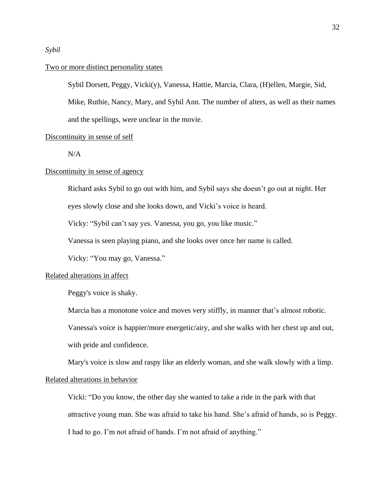## *Sybil*

## Two or more distinct personality states

Sybil Dorsett, Peggy, Vicki(y), Vanessa, Hattie, Marcia, Clara, (H)ellen, Margie, Sid,

Mike, Ruthie, Nancy, Mary, and Sybil Ann. The number of alters, as well as their names and the spellings, were unclear in the movie.

#### Discontinuity in sense of self

N/A

## Discontinuity in sense of agency

Richard asks Sybil to go out with him, and Sybil says she doesn't go out at night. Her

eyes slowly close and she looks down, and Vicki's voice is heard.

Vicky: "Sybil can't say yes. Vanessa, you go, you like music."

Vanessa is seen playing piano, and she looks over once her name is called.

Vicky: "You may go, Vanessa."

## Related alterations in affect

Peggy's voice is shaky.

Marcia has a monotone voice and moves very stiffly, in manner that's almost robotic.

Vanessa's voice is happier/more energetic/airy, and she walks with her chest up and out,

with pride and confidence.

Mary's voice is slow and raspy like an elderly woman, and she walk slowly with a limp.

## Related alterations in behavior

Vicki: "Do you know, the other day she wanted to take a ride in the park with that attractive young man. She was afraid to take his hand. She's afraid of hands, so is Peggy. I had to go. I'm not afraid of hands. I'm not afraid of anything."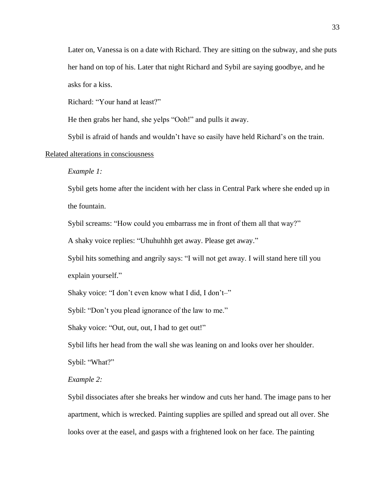Later on, Vanessa is on a date with Richard. They are sitting on the subway, and she puts her hand on top of his. Later that night Richard and Sybil are saying goodbye, and he asks for a kiss.

Richard: "Your hand at least?"

He then grabs her hand, she yelps "Ooh!" and pulls it away.

Sybil is afraid of hands and wouldn't have so easily have held Richard's on the train.

## Related alterations in consciousness

*Example 1:*

Sybil gets home after the incident with her class in Central Park where she ended up in the fountain.

Sybil screams: "How could you embarrass me in front of them all that way?"

A shaky voice replies: "Uhuhuhhh get away. Please get away."

Sybil hits something and angrily says: "I will not get away. I will stand here till you explain yourself."

Shaky voice: "I don't even know what I did, I don't–"

Sybil: "Don't you plead ignorance of the law to me."

Shaky voice: "Out, out, out, I had to get out!"

Sybil lifts her head from the wall she was leaning on and looks over her shoulder.

Sybil: "What?"

## *Example 2:*

Sybil dissociates after she breaks her window and cuts her hand. The image pans to her apartment, which is wrecked. Painting supplies are spilled and spread out all over. She looks over at the easel, and gasps with a frightened look on her face. The painting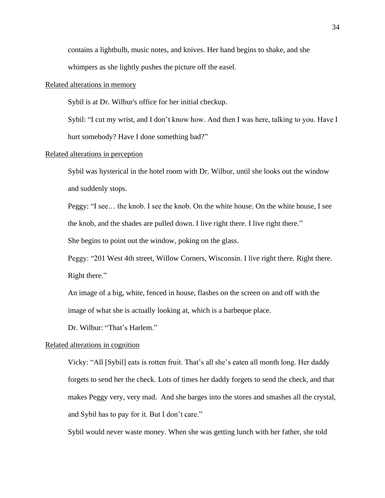contains a lightbulb, music notes, and knives. Her hand begins to shake, and she

whimpers as she lightly pushes the picture off the easel.

## Related alterations in memory

Sybil is at Dr. Wilbur's office for her initial checkup.

Sybil: "I cut my wrist, and I don't know how. And then I was here, talking to you. Have I hurt somebody? Have I done something bad?"

#### Related alterations in perception

Sybil was hysterical in the hotel room with Dr. Wilbur, until she looks out the window and suddenly stops.

Peggy: "I see… the knob. I see the knob. On the white house. On the white house, I see the knob, and the shades are pulled down. I live right there. I live right there."

She begins to point out the window, poking on the glass.

Peggy: "201 West 4th street, Willow Corners, Wisconsin. I live right there. Right there. Right there."

An image of a big, white, fenced in house, flashes on the screen on and off with the image of what she is actually looking at, which is a barbeque place.

Dr. Wilbur: "That's Harlem."

## Related alterations in cognition

Vicky: "All [Sybil] eats is rotten fruit. That's all she's eaten all month long. Her daddy forgets to send her the check. Lots of times her daddy forgets to send the check, and that makes Peggy very, very mad. And she barges into the stores and smashes all the crystal, and Sybil has to pay for it. But I don't care."

Sybil would never waste money. When she was getting lunch with her father, she told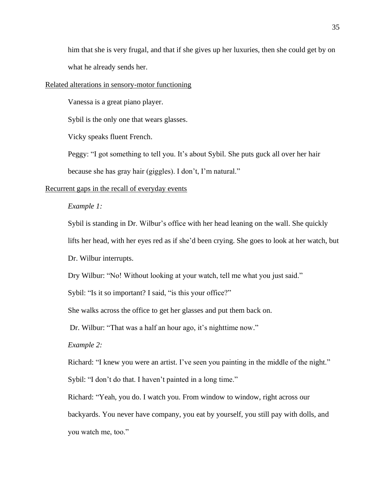him that she is very frugal, and that if she gives up her luxuries, then she could get by on what he already sends her.

#### Related alterations in sensory-motor functioning

Vanessa is a great piano player.

Sybil is the only one that wears glasses.

Vicky speaks fluent French.

Peggy: "I got something to tell you. It's about Sybil. She puts guck all over her hair

because she has gray hair (giggles). I don't, I'm natural."

#### Recurrent gaps in the recall of everyday events

## *Example 1:*

Sybil is standing in Dr. Wilbur's office with her head leaning on the wall. She quickly

lifts her head, with her eyes red as if she'd been crying. She goes to look at her watch, but

Dr. Wilbur interrupts.

Dry Wilbur: "No! Without looking at your watch, tell me what you just said."

Sybil: "Is it so important? I said, "is this your office?"

She walks across the office to get her glasses and put them back on.

Dr. Wilbur: "That was a half an hour ago, it's nighttime now."

## *Example 2:*

Richard: "I knew you were an artist. I've seen you painting in the middle of the night."

Sybil: "I don't do that. I haven't painted in a long time."

Richard: "Yeah, you do. I watch you. From window to window, right across our

backyards. You never have company, you eat by yourself, you still pay with dolls, and you watch me, too."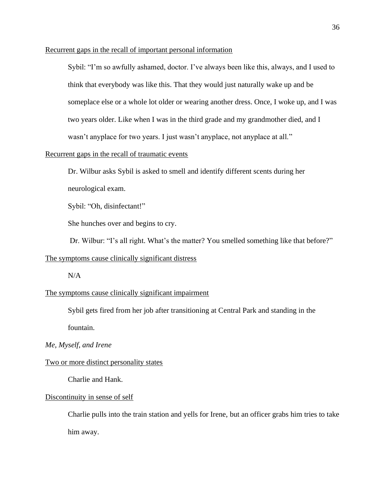## Recurrent gaps in the recall of important personal information

Sybil: "I'm so awfully ashamed, doctor. I've always been like this, always, and I used to think that everybody was like this. That they would just naturally wake up and be someplace else or a whole lot older or wearing another dress. Once, I woke up, and I was two years older. Like when I was in the third grade and my grandmother died, and I wasn't anyplace for two years. I just wasn't anyplace, not anyplace at all."

## Recurrent gaps in the recall of traumatic events

Dr. Wilbur asks Sybil is asked to smell and identify different scents during her neurological exam.

Sybil: "Oh, disinfectant!"

She hunches over and begins to cry.

Dr. Wilbur: "I's all right. What's the matter? You smelled something like that before?"

#### The symptoms cause clinically significant distress

N/A

## The symptoms cause clinically significant impairment

Sybil gets fired from her job after transitioning at Central Park and standing in the fountain.

## *Me, Myself, and Irene*

## Two or more distinct personality states

Charlie and Hank.

#### Discontinuity in sense of self

Charlie pulls into the train station and yells for Irene, but an officer grabs him tries to take him away.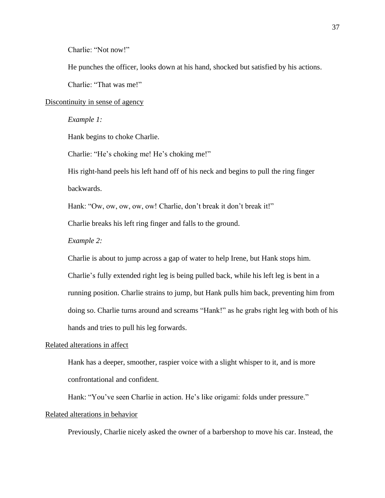Charlie: "Not now!"

He punches the officer, looks down at his hand, shocked but satisfied by his actions.

Charlie: "That was me!"

## Discontinuity in sense of agency

#### *Example 1:*

Hank begins to choke Charlie.

Charlie: "He's choking me! He's choking me!"

His right-hand peels his left hand off of his neck and begins to pull the ring finger backwards.

Hank: "Ow, ow, ow, ow, ow! Charlie, don't break it don't break it!"

Charlie breaks his left ring finger and falls to the ground.

#### *Example 2:*

Charlie is about to jump across a gap of water to help Irene, but Hank stops him.

Charlie's fully extended right leg is being pulled back, while his left leg is bent in a running position. Charlie strains to jump, but Hank pulls him back, preventing him from doing so. Charlie turns around and screams "Hank!" as he grabs right leg with both of his hands and tries to pull his leg forwards.

#### Related alterations in affect

Hank has a deeper, smoother, raspier voice with a slight whisper to it, and is more confrontational and confident.

Hank: "You've seen Charlie in action. He's like origami: folds under pressure."

## Related alterations in behavior

Previously, Charlie nicely asked the owner of a barbershop to move his car. Instead, the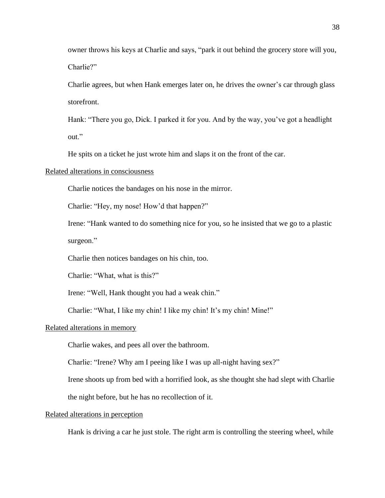owner throws his keys at Charlie and says, "park it out behind the grocery store will you, Charlie?"

Charlie agrees, but when Hank emerges later on, he drives the owner's car through glass storefront.

Hank: "There you go, Dick. I parked it for you. And by the way, you've got a headlight out."

He spits on a ticket he just wrote him and slaps it on the front of the car.

## Related alterations in consciousness

Charlie notices the bandages on his nose in the mirror.

Charlie: "Hey, my nose! How'd that happen?"

Irene: "Hank wanted to do something nice for you, so he insisted that we go to a plastic surgeon."

Charlie then notices bandages on his chin, too.

Charlie: "What, what is this?"

Irene: "Well, Hank thought you had a weak chin."

Charlie: "What, I like my chin! I like my chin! It's my chin! Mine!"

## Related alterations in memory

Charlie wakes, and pees all over the bathroom.

Charlie: "Irene? Why am I peeing like I was up all-night having sex?"

Irene shoots up from bed with a horrified look, as she thought she had slept with Charlie

the night before, but he has no recollection of it.

## Related alterations in perception

Hank is driving a car he just stole. The right arm is controlling the steering wheel, while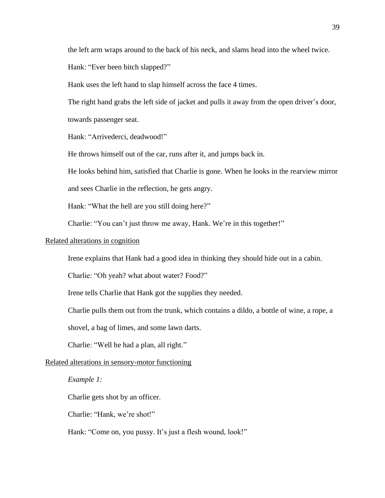the left arm wraps around to the back of his neck, and slams head into the wheel twice.

Hank: "Ever been bitch slapped?"

Hank uses the left hand to slap himself across the face 4 times.

The right hand grabs the left side of jacket and pulls it away from the open driver's door, towards passenger seat.

Hank: "Arrivederci, deadwood!"

He throws himself out of the car, runs after it, and jumps back in.

He looks behind him, satisfied that Charlie is gone. When he looks in the rearview mirror

and sees Charlie in the reflection, he gets angry.

Hank: "What the hell are you still doing here?"

Charlie: "You can't just throw me away, Hank. We're in this together!"

#### Related alterations in cognition

Irene explains that Hank had a good idea in thinking they should hide out in a cabin.

Charlie: "Oh yeah? what about water? Food?"

Irene tells Charlie that Hank got the supplies they needed.

Charlie pulls them out from the trunk, which contains a dildo, a bottle of wine, a rope, a

shovel, a bag of limes, and some lawn darts.

Charlie: "Well he had a plan, all right."

## Related alterations in sensory-motor functioning

## *Example 1:*

Charlie gets shot by an officer.

Charlie: "Hank, we're shot!"

Hank: "Come on, you pussy. It's just a flesh wound, look!"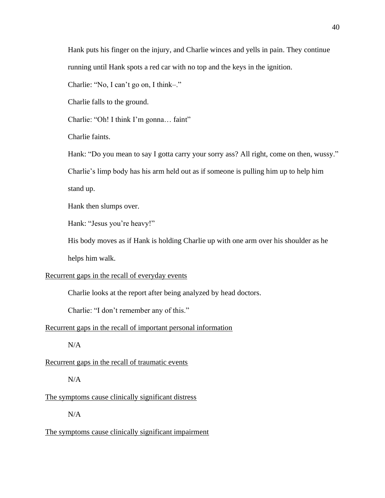Hank puts his finger on the injury, and Charlie winces and yells in pain. They continue running until Hank spots a red car with no top and the keys in the ignition.

Charlie: "No, I can't go on, I think–."

Charlie falls to the ground.

Charlie: "Oh! I think I'm gonna… faint"

Charlie faints.

Hank: "Do you mean to say I gotta carry your sorry ass? All right, come on then, wussy."

Charlie's limp body has his arm held out as if someone is pulling him up to help him

stand up.

Hank then slumps over.

Hank: "Jesus you're heavy!"

His body moves as if Hank is holding Charlie up with one arm over his shoulder as he helps him walk.

#### Recurrent gaps in the recall of everyday events

Charlie looks at the report after being analyzed by head doctors.

Charlie: "I don't remember any of this."

## Recurrent gaps in the recall of important personal information

N/A

Recurrent gaps in the recall of traumatic events

 $N/A$ 

#### The symptoms cause clinically significant distress

N/A

The symptoms cause clinically significant impairment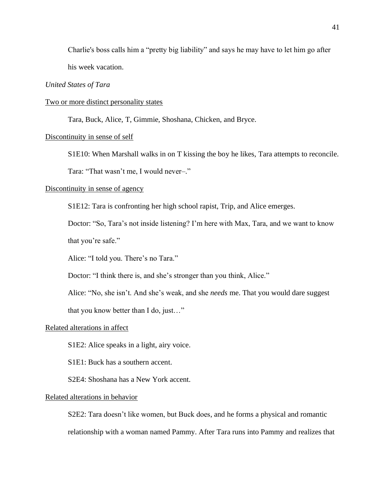Charlie's boss calls him a "pretty big liability" and says he may have to let him go after his week vacation.

## *United States of Tara*

## Two or more distinct personality states

Tara, Buck, Alice, T, Gimmie, Shoshana, Chicken, and Bryce.

## Discontinuity in sense of self

S1E10: When Marshall walks in on T kissing the boy he likes, Tara attempts to reconcile.

Tara: "That wasn't me, I would never–."

#### Discontinuity in sense of agency

S1E12: Tara is confronting her high school rapist, Trip, and Alice emerges.

Doctor: "So, Tara's not inside listening? I'm here with Max, Tara, and we want to know

that you're safe."

Alice: "I told you. There's no Tara."

Doctor: "I think there is, and she's stronger than you think, Alice."

Alice: "No, she isn't. And she's weak, and she *needs* me. That you would dare suggest

that you know better than I do, just…"

## Related alterations in affect

S1E2: Alice speaks in a light, airy voice.

S1E1: Buck has a southern accent.

S2E4: Shoshana has a New York accent.

#### Related alterations in behavior

S2E2: Tara doesn't like women, but Buck does, and he forms a physical and romantic relationship with a woman named Pammy. After Tara runs into Pammy and realizes that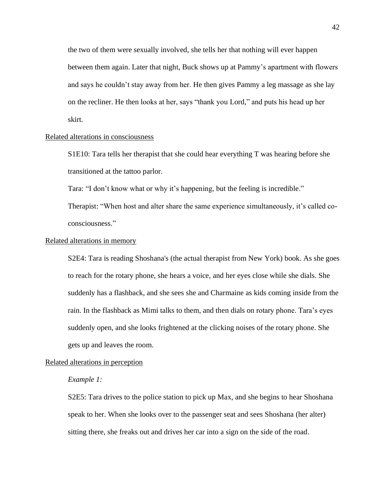the two of them were sexually involved, she tells her that nothing will ever happen between them again. Later that night, Buck shows up at Pammy's apartment with flowers and says he couldn't stay away from her. He then gives Pammy a leg massage as she lay on the recliner. He then looks at her, says "thank you Lord," and puts his head up her skirt.

## Related alterations in consciousness

S1E10: Tara tells her therapist that she could hear everything T was hearing before she transitioned at the tattoo parlor.

Tara: "I don't know what or why it's happening, but the feeling is incredible."

Therapist: "When host and alter share the same experience simultaneously, it's called coconsciousness."

#### Related alterations in memory

S2E4: Tara is reading Shoshana's (the actual therapist from New York) book. As she goes to reach for the rotary phone, she hears a voice, and her eyes close while she dials. She suddenly has a flashback, and she sees she and Charmaine as kids coming inside from the rain. In the flashback as Mimi talks to them, and then dials on rotary phone. Tara's eyes suddenly open, and she looks frightened at the clicking noises of the rotary phone. She gets up and leaves the room.

## Related alterations in perception

#### *Example 1:*

S2E5: Tara drives to the police station to pick up Max, and she begins to hear Shoshana speak to her. When she looks over to the passenger seat and sees Shoshana (her alter) sitting there, she freaks out and drives her car into a sign on the side of the road.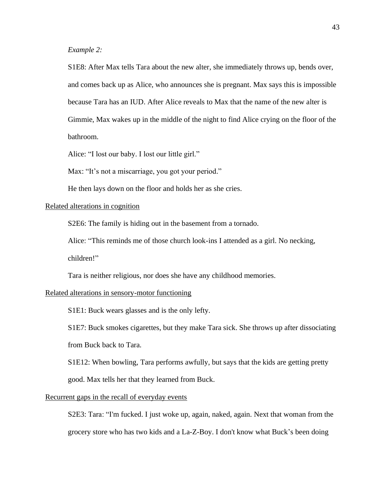*Example 2:*

S1E8: After Max tells Tara about the new alter, she immediately throws up, bends over, and comes back up as Alice, who announces she is pregnant. Max says this is impossible because Tara has an IUD. After Alice reveals to Max that the name of the new alter is Gimmie, Max wakes up in the middle of the night to find Alice crying on the floor of the bathroom.

Alice: "I lost our baby. I lost our little girl."

Max: "It's not a miscarriage, you got your period."

He then lays down on the floor and holds her as she cries.

## Related alterations in cognition

S2E6: The family is hiding out in the basement from a tornado.

Alice: "This reminds me of those church look-ins I attended as a girl. No necking,

children!"

Tara is neither religious, nor does she have any childhood memories.

## Related alterations in sensory-motor functioning

S1E1: Buck wears glasses and is the only lefty.

S1E7: Buck smokes cigarettes, but they make Tara sick. She throws up after dissociating from Buck back to Tara.

S1E12: When bowling, Tara performs awfully, but says that the kids are getting pretty good. Max tells her that they learned from Buck.

#### Recurrent gaps in the recall of everyday events

S2E3: Tara: "I'm fucked. I just woke up, again, naked, again. Next that woman from the grocery store who has two kids and a La-Z-Boy. I don't know what Buck's been doing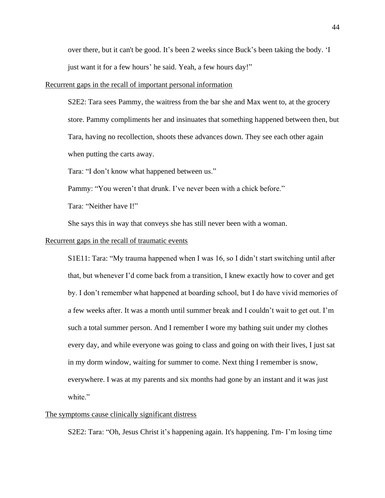over there, but it can't be good. It's been 2 weeks since Buck's been taking the body. 'I just want it for a few hours' he said. Yeah, a few hours day!"

#### Recurrent gaps in the recall of important personal information

S2E2: Tara sees Pammy, the waitress from the bar she and Max went to, at the grocery store. Pammy compliments her and insinuates that something happened between then, but Tara, having no recollection, shoots these advances down. They see each other again when putting the carts away.

Tara: "I don't know what happened between us."

Pammy: "You weren't that drunk. I've never been with a chick before."

Tara: "Neither have I!"

She says this in way that conveys she has still never been with a woman.

#### Recurrent gaps in the recall of traumatic events

S1E11: Tara: "My trauma happened when I was 16, so I didn't start switching until after that, but whenever I'd come back from a transition, I knew exactly how to cover and get by. I don't remember what happened at boarding school, but I do have vivid memories of a few weeks after. It was a month until summer break and I couldn't wait to get out. I'm such a total summer person. And I remember I wore my bathing suit under my clothes every day, and while everyone was going to class and going on with their lives, I just sat in my dorm window, waiting for summer to come. Next thing I remember is snow, everywhere. I was at my parents and six months had gone by an instant and it was just white."

## The symptoms cause clinically significant distress

S2E2: Tara: "Oh, Jesus Christ it's happening again. It's happening. I'm- I'm losing time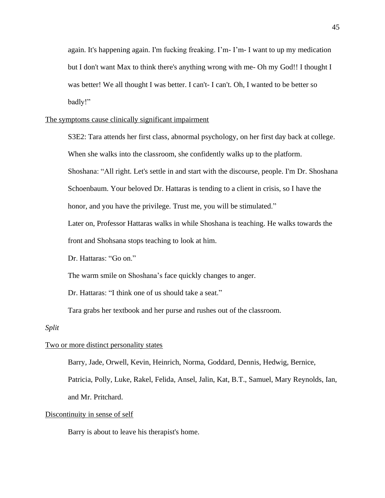again. It's happening again. I'm fucking freaking. I'm- I'm- I want to up my medication but I don't want Max to think there's anything wrong with me- Oh my God!! I thought I was better! We all thought I was better. I can't- I can't. Oh, I wanted to be better so badly!"

## The symptoms cause clinically significant impairment

S3E2: Tara attends her first class, abnormal psychology, on her first day back at college.

When she walks into the classroom, she confidently walks up to the platform.

Shoshana: "All right. Let's settle in and start with the discourse, people. I'm Dr. Shoshana

Schoenbaum. Your beloved Dr. Hattaras is tending to a client in crisis, so I have the

honor, and you have the privilege. Trust me, you will be stimulated."

Later on, Professor Hattaras walks in while Shoshana is teaching. He walks towards the front and Shohsana stops teaching to look at him.

Dr. Hattaras: "Go on."

The warm smile on Shoshana's face quickly changes to anger.

Dr. Hattaras: "I think one of us should take a seat."

Tara grabs her textbook and her purse and rushes out of the classroom.

## *Split*

## Two or more distinct personality states

Barry, Jade, Orwell, Kevin, Heinrich, Norma, Goddard, Dennis, Hedwig, Bernice,

Patricia, Polly, Luke, Rakel, Felida, Ansel, Jalin, Kat, B.T., Samuel, Mary Reynolds, Ian, and Mr. Pritchard.

## Discontinuity in sense of self

Barry is about to leave his therapist's home.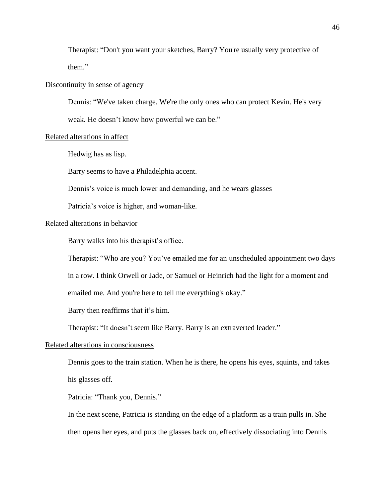Therapist: "Don't you want your sketches, Barry? You're usually very protective of them."

#### Discontinuity in sense of agency

Dennis: "We've taken charge. We're the only ones who can protect Kevin. He's very

weak. He doesn't know how powerful we can be."

## Related alterations in affect

Hedwig has as lisp.

Barry seems to have a Philadelphia accent.

Dennis's voice is much lower and demanding, and he wears glasses

Patricia's voice is higher, and woman-like.

#### Related alterations in behavior

Barry walks into his therapist's office.

Therapist: "Who are you? You've emailed me for an unscheduled appointment two days

in a row. I think Orwell or Jade, or Samuel or Heinrich had the light for a moment and

emailed me. And you're here to tell me everything's okay."

Barry then reaffirms that it's him.

Therapist: "It doesn't seem like Barry. Barry is an extraverted leader."

#### Related alterations in consciousness

Dennis goes to the train station. When he is there, he opens his eyes, squints, and takes his glasses off.

Patricia: "Thank you, Dennis."

In the next scene, Patricia is standing on the edge of a platform as a train pulls in. She then opens her eyes, and puts the glasses back on, effectively dissociating into Dennis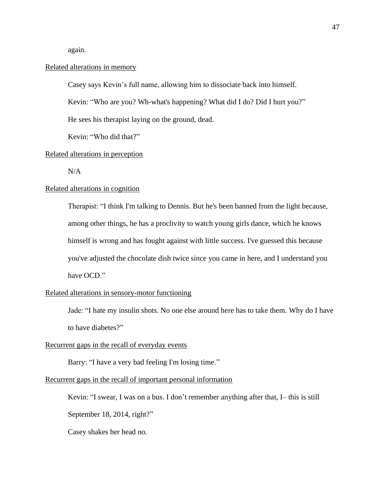again.

## Related alterations in memory

Casey says Kevin's full name, allowing him to dissociate back into himself.

Kevin: "Who are you? Wh-what's happening? What did I do? Did I hurt you?"

He sees his therapist laying on the ground, dead.

Kevin: "Who did that?"

## Related alterations in perception

N/A

## Related alterations in cognition

Therapist: "I think I'm talking to Dennis. But he's been banned from the light because, among other things, he has a proclivity to watch young girls dance, which he knows himself is wrong and has fought against with little success. I've guessed this because you've adjusted the chocolate dish twice since you came in here, and I understand you have OCD."

## Related alterations in sensory-motor functioning

Jade: "I hate my insulin shots. No one else around here has to take them. Why do I have to have diabetes?"

#### Recurrent gaps in the recall of everyday events

Barry: "I have a very bad feeling I'm losing time."

#### Recurrent gaps in the recall of important personal information

Kevin: "I swear, I was on a bus. I don't remember anything after that, I– this is still

September 18, 2014, right?"

Casey shakes her head no.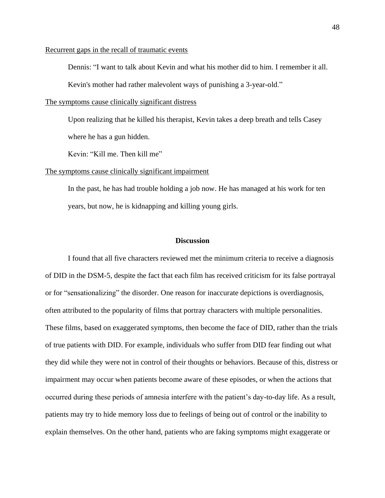#### Recurrent gaps in the recall of traumatic events

Dennis: "I want to talk about Kevin and what his mother did to him. I remember it all.

Kevin's mother had rather malevolent ways of punishing a 3-year-old."

#### The symptoms cause clinically significant distress

Upon realizing that he killed his therapist, Kevin takes a deep breath and tells Casey where he has a gun hidden.

Kevin: "Kill me. Then kill me"

#### The symptoms cause clinically significant impairment

In the past, he has had trouble holding a job now. He has managed at his work for ten years, but now, he is kidnapping and killing young girls.

#### **Discussion**

I found that all five characters reviewed met the minimum criteria to receive a diagnosis of DID in the DSM-5, despite the fact that each film has received criticism for its false portrayal or for "sensationalizing" the disorder. One reason for inaccurate depictions is overdiagnosis, often attributed to the popularity of films that portray characters with multiple personalities. These films, based on exaggerated symptoms, then become the face of DID, rather than the trials of true patients with DID. For example, individuals who suffer from DID fear finding out what they did while they were not in control of their thoughts or behaviors. Because of this, distress or impairment may occur when patients become aware of these episodes, or when the actions that occurred during these periods of amnesia interfere with the patient's day-to-day life. As a result, patients may try to hide memory loss due to feelings of being out of control or the inability to explain themselves. On the other hand, patients who are faking symptoms might exaggerate or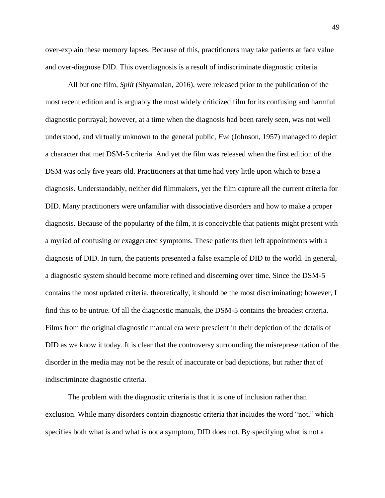over-explain these memory lapses. Because of this, practitioners may take patients at face value and over-diagnose DID. This overdiagnosis is a result of indiscriminate diagnostic criteria.

All but one film, *Split* (Shyamalan, 2016), were released prior to the publication of the most recent edition and is arguably the most widely criticized film for its confusing and harmful diagnostic portrayal; however, at a time when the diagnosis had been rarely seen, was not well understood, and virtually unknown to the general public, *Eve* (Johnson, 1957) managed to depict a character that met DSM-5 criteria. And yet the film was released when the first edition of the DSM was only five years old. Practitioners at that time had very little upon which to base a diagnosis. Understandably, neither did filmmakers, yet the film capture all the current criteria for DID. Many practitioners were unfamiliar with dissociative disorders and how to make a proper diagnosis. Because of the popularity of the film, it is conceivable that patients might present with a myriad of confusing or exaggerated symptoms. These patients then left appointments with a diagnosis of DID. In turn, the patients presented a false example of DID to the world. In general, a diagnostic system should become more refined and discerning over time. Since the DSM-5 contains the most updated criteria, theoretically, it should be the most discriminating; however, I find this to be untrue. Of all the diagnostic manuals, the DSM-5 contains the broadest criteria. Films from the original diagnostic manual era were prescient in their depiction of the details of DID as we know it today. It is clear that the controversy surrounding the misrepresentation of the disorder in the media may not be the result of inaccurate or bad depictions, but rather that of indiscriminate diagnostic criteria.

 The problem with the diagnostic criteria is that it is one of inclusion rather than exclusion. While many disorders contain diagnostic criteria that includes the word "not," which specifies both what is and what is not a symptom, DID does not. By specifying what is not a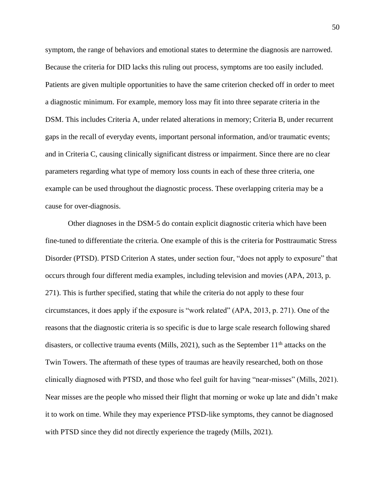symptom, the range of behaviors and emotional states to determine the diagnosis are narrowed. Because the criteria for DID lacks this ruling out process, symptoms are too easily included. Patients are given multiple opportunities to have the same criterion checked off in order to meet a diagnostic minimum. For example, memory loss may fit into three separate criteria in the DSM. This includes Criteria A, under related alterations in memory; Criteria B, under recurrent gaps in the recall of everyday events, important personal information, and/or traumatic events; and in Criteria C, causing clinically significant distress or impairment. Since there are no clear parameters regarding what type of memory loss counts in each of these three criteria, one example can be used throughout the diagnostic process. These overlapping criteria may be a cause for over-diagnosis.

Other diagnoses in the DSM-5 do contain explicit diagnostic criteria which have been fine-tuned to differentiate the criteria. One example of this is the criteria for Posttraumatic Stress Disorder (PTSD). PTSD Criterion A states, under section four, "does not apply to exposure" that occurs through four different media examples, including television and movies (APA, 2013, p. 271). This is further specified, stating that while the criteria do not apply to these four circumstances, it does apply if the exposure is "work related" (APA, 2013, p. 271). One of the reasons that the diagnostic criteria is so specific is due to large scale research following shared disasters, or collective trauma events (Mills, 2021), such as the September  $11<sup>th</sup>$  attacks on the Twin Towers. The aftermath of these types of traumas are heavily researched, both on those clinically diagnosed with PTSD, and those who feel guilt for having "near-misses" (Mills, 2021). Near misses are the people who missed their flight that morning or woke up late and didn't make it to work on time. While they may experience PTSD-like symptoms, they cannot be diagnosed with PTSD since they did not directly experience the tragedy (Mills, 2021).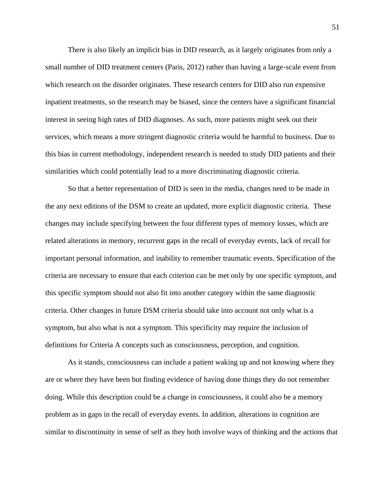There is also likely an implicit bias in DID research, as it largely originates from only a small number of DID treatment centers (Paris, 2012) rather than having a large-scale event from which research on the disorder originates. These research centers for DID also run expensive inpatient treatments, so the research may be biased, since the centers have a significant financial interest in seeing high rates of DID diagnoses. As such, more patients might seek out their services, which means a more stringent diagnostic criteria would be harmful to business. Due to this bias in current methodology, independent research is needed to study DID patients and their similarities which could potentially lead to a more discriminating diagnostic criteria.

So that a better representation of DID is seen in the media, changes need to be made in the any next editions of the DSM to create an updated, more explicit diagnostic criteria. These changes may include specifying between the four different types of memory losses, which are related alterations in memory, recurrent gaps in the recall of everyday events, lack of recall for important personal information, and inability to remember traumatic events. Specification of the criteria are necessary to ensure that each criterion can be met only by one specific symptom, and this specific symptom should not also fit into another category within the same diagnostic criteria. Other changes in future DSM criteria should take into account not only what is a symptom, but also what is not a symptom. This specificity may require the inclusion of definitions for Criteria A concepts such as consciousness, perception, and cognition.

As it stands, consciousness can include a patient waking up and not knowing where they are or where they have been but finding evidence of having done things they do not remember doing. While this description could be a change in consciousness, it could also be a memory problem as in gaps in the recall of everyday events. In addition, alterations in cognition are similar to discontinuity in sense of self as they both involve ways of thinking and the actions that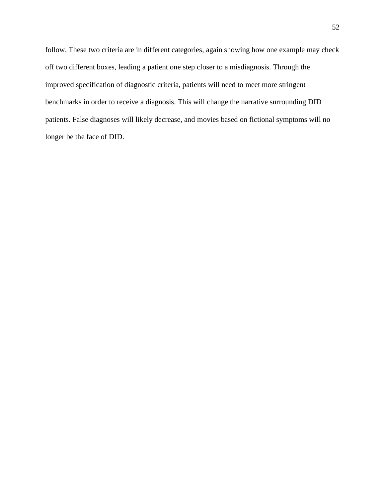follow. These two criteria are in different categories, again showing how one example may check off two different boxes, leading a patient one step closer to a misdiagnosis. Through the improved specification of diagnostic criteria, patients will need to meet more stringent benchmarks in order to receive a diagnosis. This will change the narrative surrounding DID patients. False diagnoses will likely decrease, and movies based on fictional symptoms will no longer be the face of DID.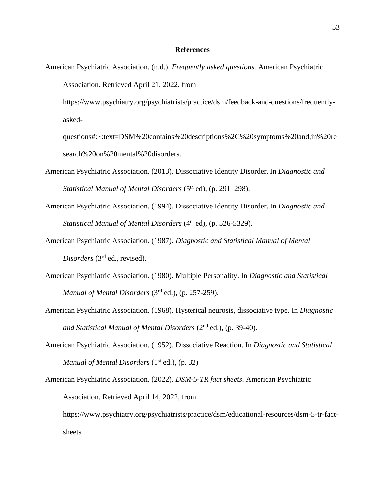## **References**

American Psychiatric Association. (n.d.). *Frequently asked questions.* American Psychiatric Association. Retrieved April 21, 2022, from

https://www.psychiatry.org/psychiatrists/practice/dsm/feedback-and-questions/frequentlyasked-

questions#:~:text=DSM%20contains%20descriptions%2C%20symptoms%20and,in%20re search%20on%20mental%20disorders.

- American Psychiatric Association. (2013). Dissociative Identity Disorder. In *Diagnostic and*  Statistical Manual of Mental Disorders (5<sup>th</sup> ed), (p. 291–298).
- American Psychiatric Association. (1994). Dissociative Identity Disorder. In *Diagnostic and Statistical Manual of Mental Disorders* (4<sup>th</sup> ed), (p. 526-5329).
- American Psychiatric Association. (1987). *Diagnostic and Statistical Manual of Mental*  Disorders (3<sup>rd</sup> ed., revised).
- American Psychiatric Association. (1980). Multiple Personality. In *Diagnostic and Statistical Manual of Mental Disorders* (3rd ed.), (p. 257-259).
- American Psychiatric Association. (1968). Hysterical neurosis, dissociative type. In *Diagnostic and Statistical Manual of Mental Disorders* (2nd ed.), (p. 39-40).
- American Psychiatric Association. (1952). Dissociative Reaction. In *Diagnostic and Statistical*  Manual of Mental Disorders (1<sup>st</sup> ed.), (p. 32)
- American Psychiatric Association. (2022). *DSM-5-TR fact sheets*. American Psychiatric Association. Retrieved April 14, 2022, from https://www.psychiatry.org/psychiatrists/practice/dsm/educational-resources/dsm-5-tr-factsheets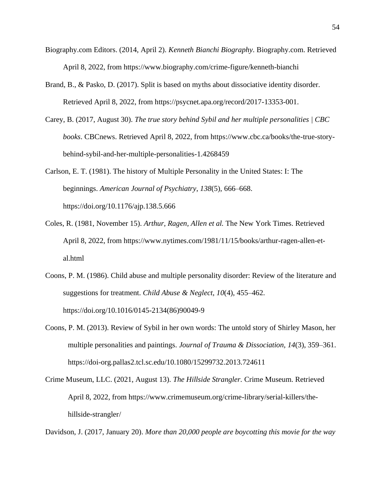- Biography.com Editors. (2014, April 2). *Kenneth Bianchi Biography*. Biography.com. Retrieved April 8, 2022, from https://www.biography.com/crime-figure/kenneth-bianchi
- Brand, B., & Pasko, D. (2017). Split is based on myths about dissociative identity disorder. Retrieved April 8, 2022, from https://psycnet.apa.org/record/2017-13353-001.
- Carey, B. (2017, August 30). *The true story behind Sybil and her multiple personalities | CBC books*. CBCnews. Retrieved April 8, 2022, from https://www.cbc.ca/books/the-true-storybehind-sybil-and-her-multiple-personalities-1.4268459

Carlson, E. T. (1981). The history of Multiple Personality in the United States: I: The beginnings. *American Journal of Psychiatry*, *138*(5), 666–668. https://doi.org/10.1176/ajp.138.5.666

- Coles, R. (1981, November 15). *Arthur, Ragen, Allen et al.* The New York Times. Retrieved April 8, 2022, from https://www.nytimes.com/1981/11/15/books/arthur-ragen-allen-etal.html
- Coons, P. M. (1986). Child abuse and multiple personality disorder: Review of the literature and suggestions for treatment. *Child Abuse & Neglect*, *10*(4), 455–462. https://doi.org/10.1016/0145-2134(86)90049-9
- Coons, P. M. (2013). Review of Sybil in her own words: The untold story of Shirley Mason, her multiple personalities and paintings. *Journal of Trauma & Dissociation, 14*(3), 359–361. https://doi-org.pallas2.tcl.sc.edu/10.1080/15299732.2013.724611
- Crime Museum, LLC. (2021, August 13). *The Hillside Strangler.* Crime Museum. Retrieved April 8, 2022, from https://www.crimemuseum.org/crime-library/serial-killers/thehillside-strangler/

Davidson, J. (2017, January 20). *More than 20,000 people are boycotting this movie for the way*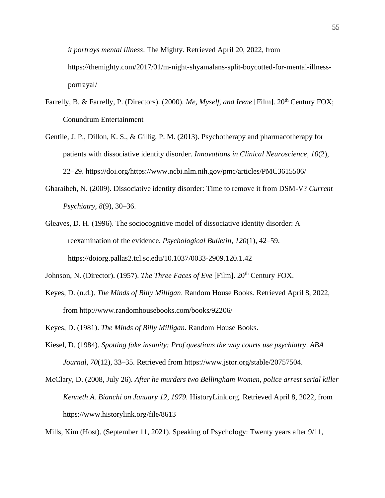*it portrays mental illness*. The Mighty. Retrieved April 20, 2022, from https://themighty.com/2017/01/m-night-shyamalans-split-boycotted-for-mental-illnessportrayal/

- Farrelly, B. & Farrelly, P. (Directors). (2000). *Me, Myself, and Irene* [Film]. 20<sup>th</sup> Century FOX; Conundrum Entertainment
- Gentile, J. P., Dillon, K. S., & Gillig, P. M. (2013). Psychotherapy and pharmacotherapy for patients with dissociative identity disorder. *Innovations in Clinical Neuroscience, 10*(2), 22–29. https://doi.org/https://www.ncbi.nlm.nih.gov/pmc/articles/PMC3615506/
- Gharaibeh, N. (2009). Dissociative identity disorder: Time to remove it from DSM-V? *Current Psychiatry, 8*(9), 30–36.
- Gleaves, D. H. (1996). The sociocognitive model of dissociative identity disorder: A reexamination of the evidence. *Psychological Bulletin, 120*(1), 42–59. https://doiorg.pallas2.tcl.sc.edu/10.1037/0033-2909.120.1.42
- Johnson, N. (Director). (1957). *The Three Faces of Eve* [Film]. 20<sup>th</sup> Century FOX.
- Keyes, D. (n.d.). *The Minds of Billy Milligan*. Random House Books. Retrieved April 8, 2022, from http://www.randomhousebooks.com/books/92206/
- Keyes, D. (1981). *The Minds of Billy Milligan*. Random House Books.
- Kiesel, D. (1984). *Spotting fake insanity: Prof questions the way courts use psychiatry*. *ABA Journal*, *70*(12), 33–35. Retrieved from https://www.jstor.org/stable/20757504.
- McClary, D. (2008, July 26). *After he murders two Bellingham Women, police arrest serial killer Kenneth A. Bianchi on January 12, 1979.* HistoryLink.org. Retrieved April 8, 2022, from https://www.historylink.org/file/8613

Mills, Kim (Host). (September 11, 2021). Speaking of Psychology: Twenty years after 9/11,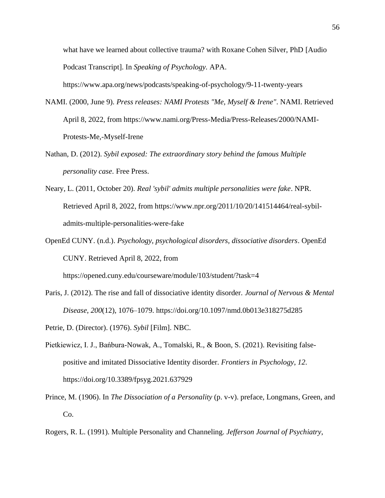what have we learned about collective trauma? with Roxane Cohen Silver, PhD [Audio Podcast Transcript]. In *Speaking of Psychology.* APA.

https://www.apa.org/news/podcasts/speaking-of-psychology/9-11-twenty-years

- NAMI. (2000, June 9). *Press releases: NAMI Protests "Me, Myself & Irene"*. NAMI. Retrieved April 8, 2022, from https://www.nami.org/Press-Media/Press-Releases/2000/NAMI-Protests-Me,-Myself-Irene
- Nathan, D. (2012). *Sybil exposed: The extraordinary story behind the famous Multiple personality case*. Free Press.
- Neary, L. (2011, October 20). *Real 'sybil' admits multiple personalities were fake*. NPR. Retrieved April 8, 2022, from https://www.npr.org/2011/10/20/141514464/real-sybiladmits-multiple-personalities-were-fake
- OpenEd CUNY. (n.d.). *Psychology, psychological disorders, dissociative disorders*. OpenEd CUNY. Retrieved April 8, 2022, from

https://opened.cuny.edu/courseware/module/103/student/?task=4

- Paris, J. (2012). The rise and fall of dissociative identity disorder. *Journal of Nervous & Mental Disease*, *200*(12), 1076–1079. https://doi.org/10.1097/nmd.0b013e318275d285
- Petrie, D. (Director). (1976). *Sybil* [Film]. NBC.
- Pietkiewicz, I. J., Bańbura-Nowak, A., Tomalski, R., & Boon, S. (2021). Revisiting falsepositive and imitated Dissociative Identity disorder. *Frontiers in Psychology*, *12*. https://doi.org/10.3389/fpsyg.2021.637929
- Prince, M. (1906). In *The Dissociation of a Personality* (p. v-v). preface, Longmans, Green, and Co.
- Rogers, R. L. (1991). Multiple Personality and Channeling. *Jefferson Journal of Psychiatry*,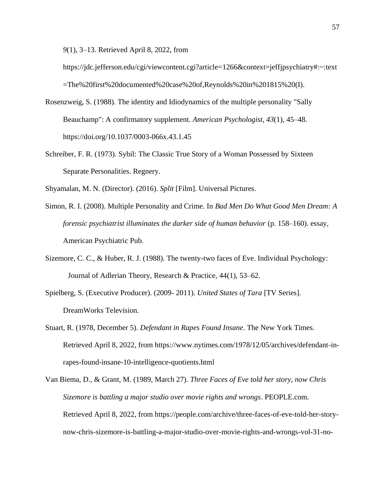*9*(1), 3–13. Retrieved April 8, 2022, from

https://jdc.jefferson.edu/cgi/viewcontent.cgi?article=1266&context=jeffjpsychiatry#:~:text =The%20first%20documented%20case%20of,Reynolds%20in%201815%20(I).

- Rosenzweig, S. (1988). The identity and Idiodynamics of the multiple personality "Sally Beauchamp": A confirmatory supplement. *American Psychologist*, *43*(1), 45–48. https://doi.org/10.1037/0003-066x.43.1.45
- Schreiber, F. R. (1973). Sybil: The Classic True Story of a Woman Possessed by Sixteen Separate Personalities. Regnery.

Shyamalan, M. N. (Director). (2016). *Split* [Film]. Universal Pictures.

- Simon, R. I. (2008). Multiple Personality and Crime. In *Bad Men Do What Good Men Dream: A forensic psychiatrist illuminates the darker side of human behavior* (p. 158–160). essay, American Psychiatric Pub.
- Sizemore, C. C., & Huber, R. J. (1988). The twenty-two faces of Eve. Individual Psychology: Journal of Adlerian Theory, Research & Practice, 44(1), 53–62.
- Spielberg, S. (Executive Producer). (2009- 2011). *United States of Tara* [TV Series]. DreamWorks Television.
- Stuart, R. (1978, December 5). *Defendant in Rapes Found Insane*. The New York Times. Retrieved April 8, 2022, from https://www.nytimes.com/1978/12/05/archives/defendant-inrapes-found-insane-10-intelligence-quotients.html

Van Biema, D., & Grant, M. (1989, March 27). *Three Faces of Eve told her story, now Chris Sizemore is battling a major studio over movie rights and wrongs*. PEOPLE.com. Retrieved April 8, 2022, from https://people.com/archive/three-faces-of-eve-told-her-storynow-chris-sizemore-is-battling-a-major-studio-over-movie-rights-and-wrongs-vol-31-no-